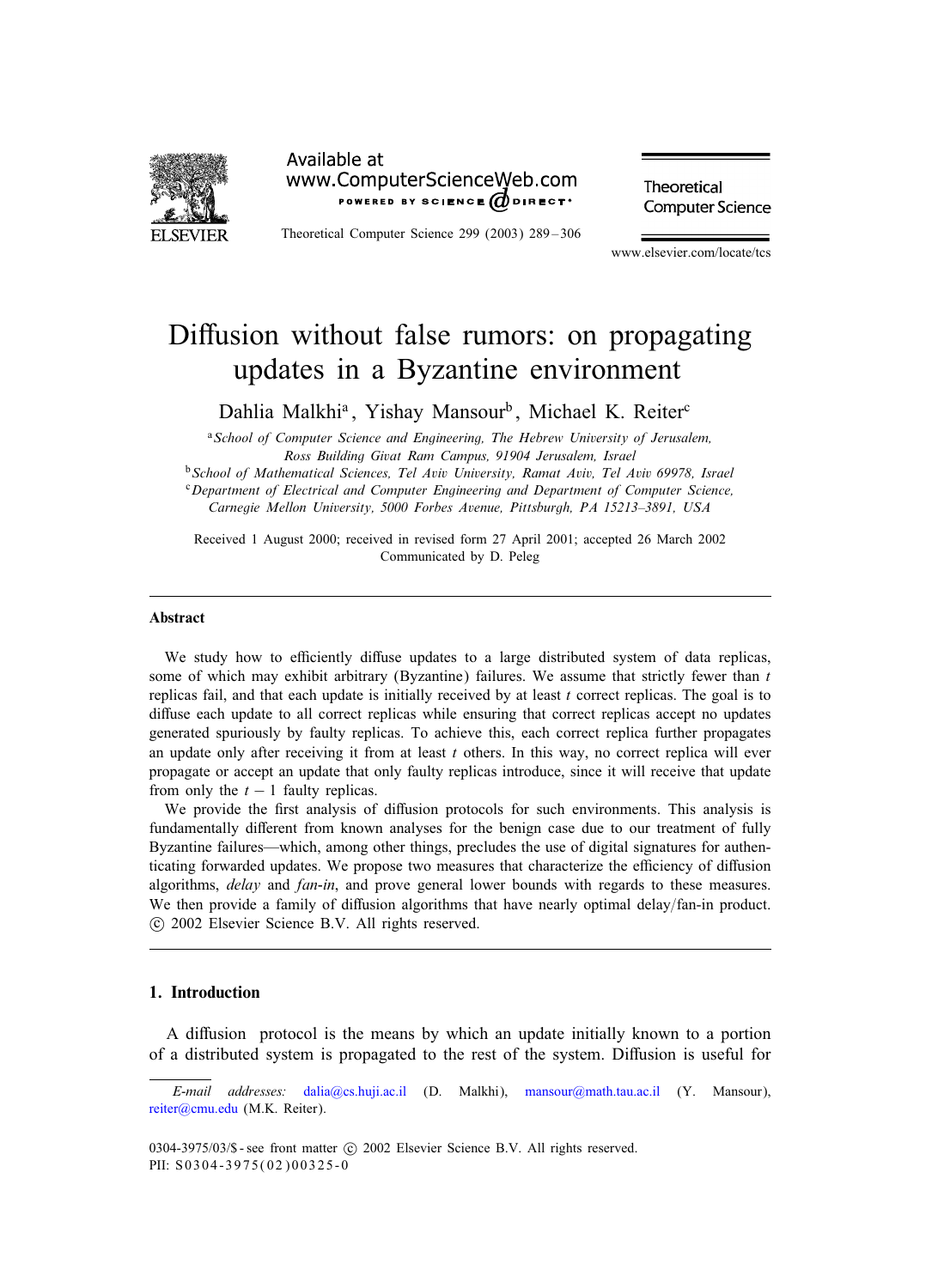

# Available at www.ComputerScienceWeb.com POWERED BY SCIENCE  $\phi$  direct.

Theoretical Computer Science 299 (2003) 289 – 306

**Theoretical Computer Science** 

www.elsevier.com/locate/tcs

# Diffusion without false rumors: on propagating updates in a Byzantine environment

Dahlia Malkhi<sup>a</sup>, Yishay Mansour<sup>b</sup>, Michael K. Reiter<sup>c</sup>

<sup>a</sup>*School of Computer Science and Engineering, The Hebrew University of Jerusalem, Ross Building Givat Ram Campus, 91904 Jerusalem, Israel*

<sup>b</sup>*School of Mathematical Sciences, Tel Aviv University, Ramat Aviv, Tel Aviv 69978, Israel* <sup>c</sup>*Department of Electrical and Computer Engineering and Department of Computer Science, Carnegie Mellon University, 5000 Forbes Avenue, Pittsburgh, PA 15213–3891, USA*

Received 1 August 2000; received in revised form 27 April 2001; accepted 26 March 2002 Communicated by D. Peleg

#### Abstract

We study how to efficiently diffuse updates to a large distributed system of data replicas, some of which may exhibit arbitrary (Byzantine) failures. We assume that strictly fewer than t replicas fail, and that each update is initially received by at least  $t$  correct replicas. The goal is to diffuse each update to all correct replicas while ensuring that correct replicas accept no updates generated spuriously by faulty replicas. To achieve this, each correct replica further propagates an update only after receiving it from at least  $t$  others. In this way, no correct replica will ever propagate or accept an update that only faulty replicas introduce, since it will receive that update from only the  $t - 1$  faulty replicas.

We provide the first analysis of diffusion protocols for such environments. This analysis is fundamentally different from known analyses for the benign case due to our treatment of fully Byzantine failures—which, among other things, precludes the use of digital signatures for authenticating forwarded updates. We propose two measures that characterize the efficiency of diffusion algorithms, *delay* and *fan-in*, and prove general lower bounds with regards to these measures. We then provide a family of diffusion algorithms that have nearly optimal delay/fan-in product. -c 2002 Elsevier Science B.V. All rights reserved.

## 1. Introduction

A diffusion protocol is the means by which an update initially known to a portion of a distributed system is propagated to the rest of the system. Diffusion is useful for

0304-3975/03/\$ - see front matter  $\odot$  2002 Elsevier Science B.V. All rights reserved. PII: S0304-3975(02)00325-0

*E-mail addresses:* [dalia@cs.huji.ac.il](mailto:dalia@cs.huji.ac.il) (D. Malkhi), [mansour@math.tau.ac.il](mailto:mansour@math.tau.ac.il) (Y. Mansour), [reiter@cmu.edu](mailto:reiter@cmu.edu) (M.K. Reiter).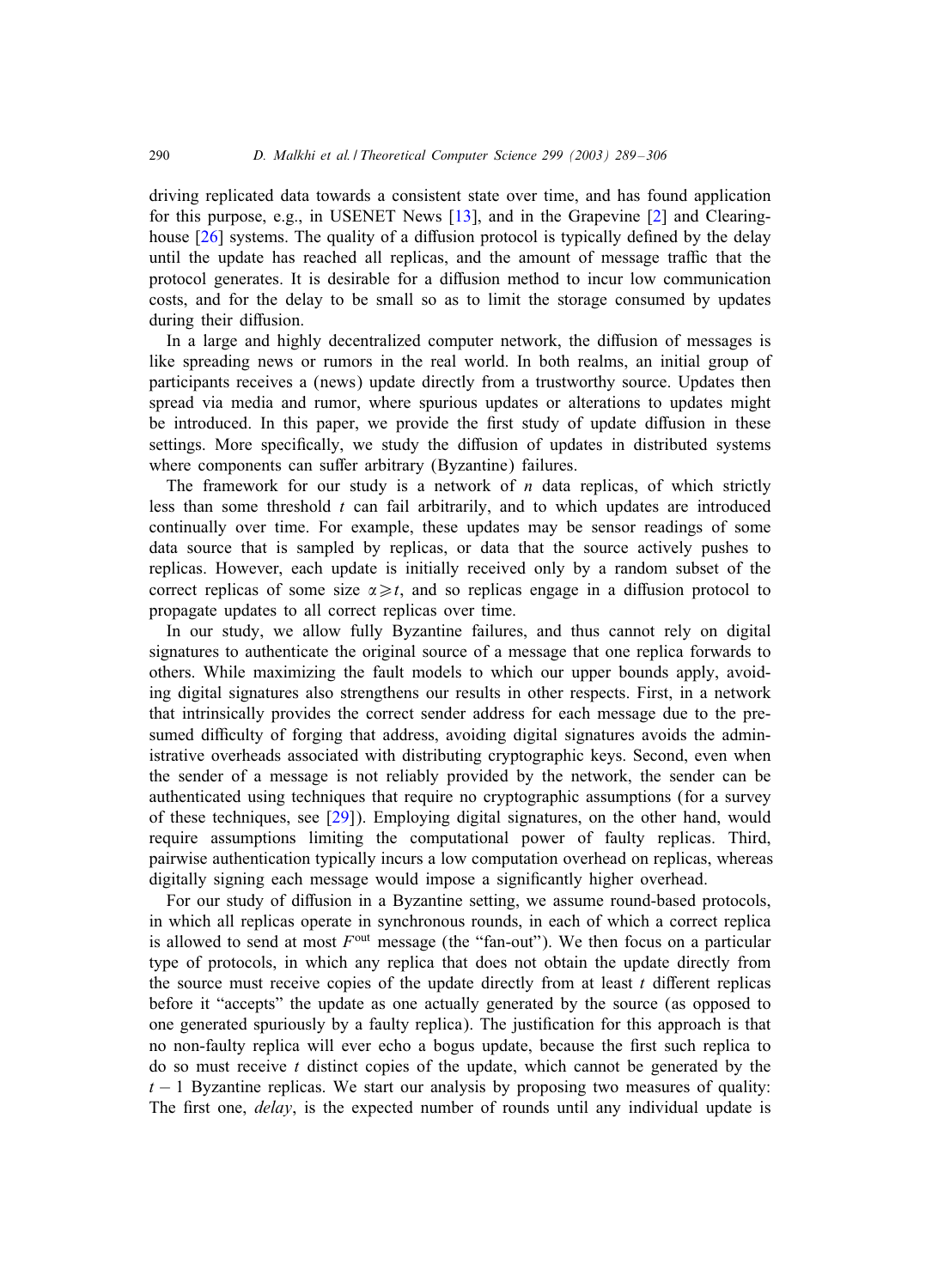driving replicated data towards a consistent state over time, and has found application for this purpose, e.g., in USENET News [\[13\]](#page-16-0), and in the Grapevine [\[2\]](#page-16-0) and Clearinghouse  $[26]$  systems. The quality of a diffusion protocol is typically defined by the delay until the update has reached all replicas, and the amount of message traffic that the protocol generates. It is desirable for a diffusion method to incur low communication costs, and for the delay to be small so as to limit the storage consumed by updates during their diffusion.

In a large and highly decentralized computer network, the diffusion of messages is like spreading news or rumors in the real world. In both realms, an initial group of participants receives a (news) update directly from a trustworthy source. Updates then spread via media and rumor, where spurious updates or alterations to updates might be introduced. In this paper, we provide the first study of update diffusion in these settings. More specifically, we study the diffusion of updates in distributed systems where components can suffer arbitrary (Byzantine) failures.

The framework for our study is a network of  $n$  data replicas, of which strictly less than some threshold  $t$  can fail arbitrarily, and to which updates are introduced continually over time. For example, these updates may be sensor readings of some data source that is sampled by replicas, or data that the source actively pushes to replicas. However, each update is initially received only by a random subset of the correct replicas of some size  $\alpha \geq t$ , and so replicas engage in a diffusion protocol to propagate updates to all correct replicas over time.

In our study, we allow fully Byzantine failures, and thus cannot rely on digital signatures to authenticate the original source of a message that one replica forwards to others. While maximizing the fault models to which our upper bounds apply, avoiding digital signatures also strengthens our results in other respects. First, in a network that intrinsically provides the correct sender address for each message due to the presumed difficulty of forging that address, avoiding digital signatures avoids the administrative overheads associated with distributing cryptographic keys. Second, even when the sender of a message is not reliably provided by the network, the sender can be authenticated using techniques that require no cryptographic assumptions (for a survey of these techniques, see [\[29\]](#page-17-0)). Employing digital signatures, on the other hand, would require assumptions limiting the computational power of faulty replicas. Third, pairwise authentication typically incurs a low computation overhead on replicas, whereas digitally signing each message would impose a significantly higher overhead.

For our study of diffusion in a Byzantine setting, we assume round-based protocols, in which all replicas operate in synchronous rounds, in each of which a correct replica is allowed to send at most  $F<sup>out</sup>$  message (the "fan-out"). We then focus on a particular type of protocols, in which any replica that does not obtain the update directly from the source must receive copies of the update directly from at least  $t$  different replicas before it "accepts" the update as one actually generated by the source (as opposed to one generated spuriously by a faulty replica). The justification for this approach is that no non-faulty replica will ever echo a bogus update, because the first such replica to do so must receive  $t$  distinct copies of the update, which cannot be generated by the  $t - 1$  Byzantine replicas. We start our analysis by proposing two measures of quality: The first one, *delay*, is the expected number of rounds until any individual update is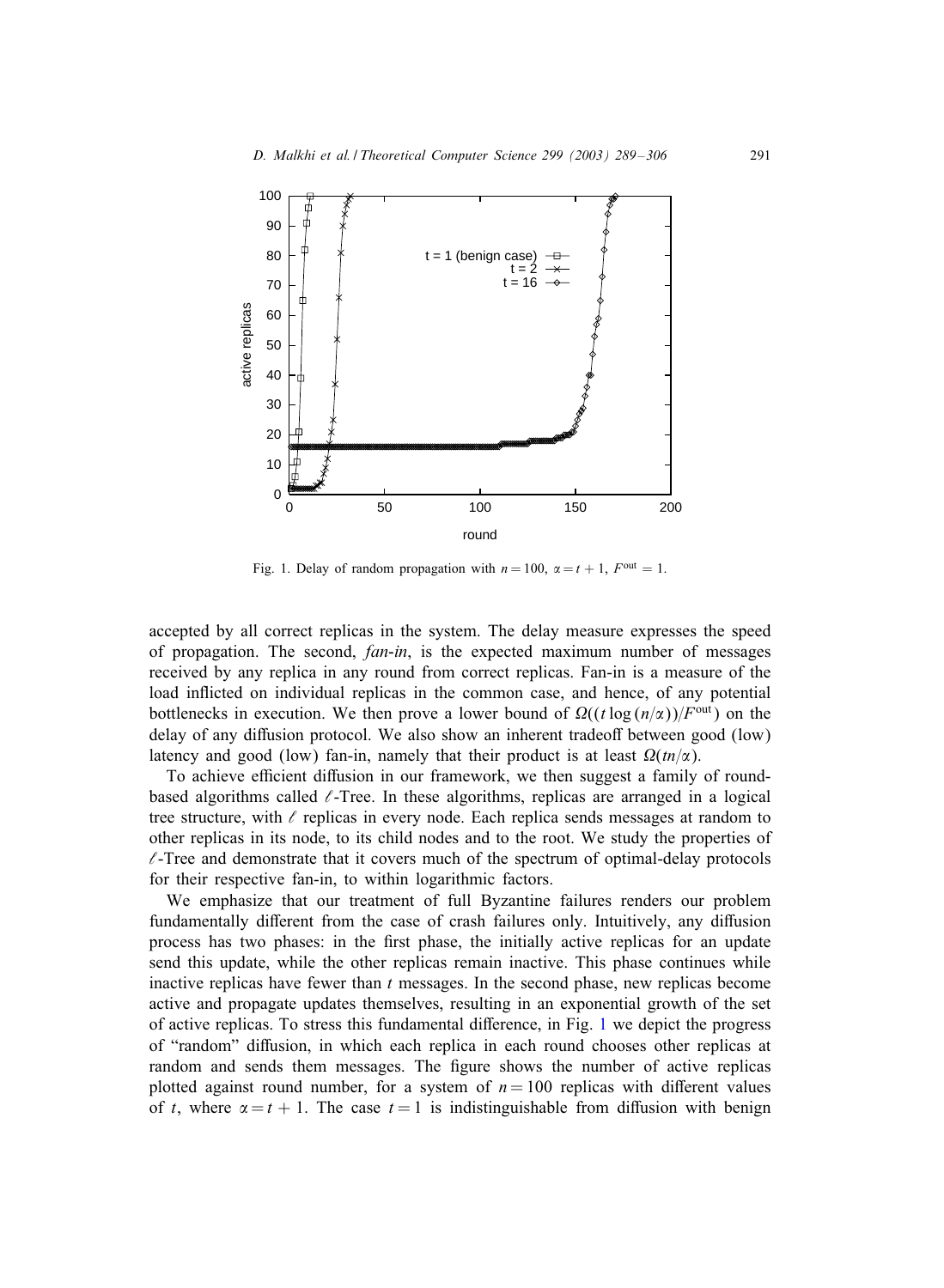

Fig. 1. Delay of random propagation with  $n = 100$ ,  $\alpha = t + 1$ ,  $F^{\text{out}} = 1$ .

accepted by all correct replicas in the system. The delay measure expresses the speed of propagation. The second, *fan-in*, is the expected maximum number of messages received by any replica in any round from correct replicas. Fan-in is a measure of the load inflicted on individual replicas in the common case, and hence, of any potential bottlenecks in execution. We then prove a lower bound of  $\Omega((t \log(n/\alpha))/F^{out})$  on the delay of any diffusion protocol. We also show an inherent tradeoff between good (low) latency and good (low) fan-in, namely that their product is at least  $\Omega(tn/\alpha)$ .

To achieve efficient diffusion in our framework, we then suggest a family of roundbased algorithms called  $\ell$ -Tree. In these algorithms, replicas are arranged in a logical tree structure, with  $\ell$  replicas in every node. Each replica sends messages at random to other replicas in its node, to its child nodes and to the root. We study the properties of  $\ell$ -Tree and demonstrate that it covers much of the spectrum of optimal-delay protocols for their respective fan-in, to within logarithmic factors.

We emphasize that our treatment of full Byzantine failures renders our problem fundamentally different from the case of crash failures only. Intuitively, any diffusion process has two phases: in the first phase, the initially active replicas for an update send this update, while the other replicas remain inactive. This phase continues while inactive replicas have fewer than  $t$  messages. In the second phase, new replicas become active and propagate updates themselves, resulting in an exponential growth of the set of active replicas. To stress this fundamental difference, in Fig. 1 we depict the progress of "random" diffusion, in which each replica in each round chooses other replicas at random and sends them messages. The figure shows the number of active replicas plotted against round number, for a system of  $n = 100$  replicas with different values of t, where  $\alpha = t + 1$ . The case  $t = 1$  is indistinguishable from diffusion with benign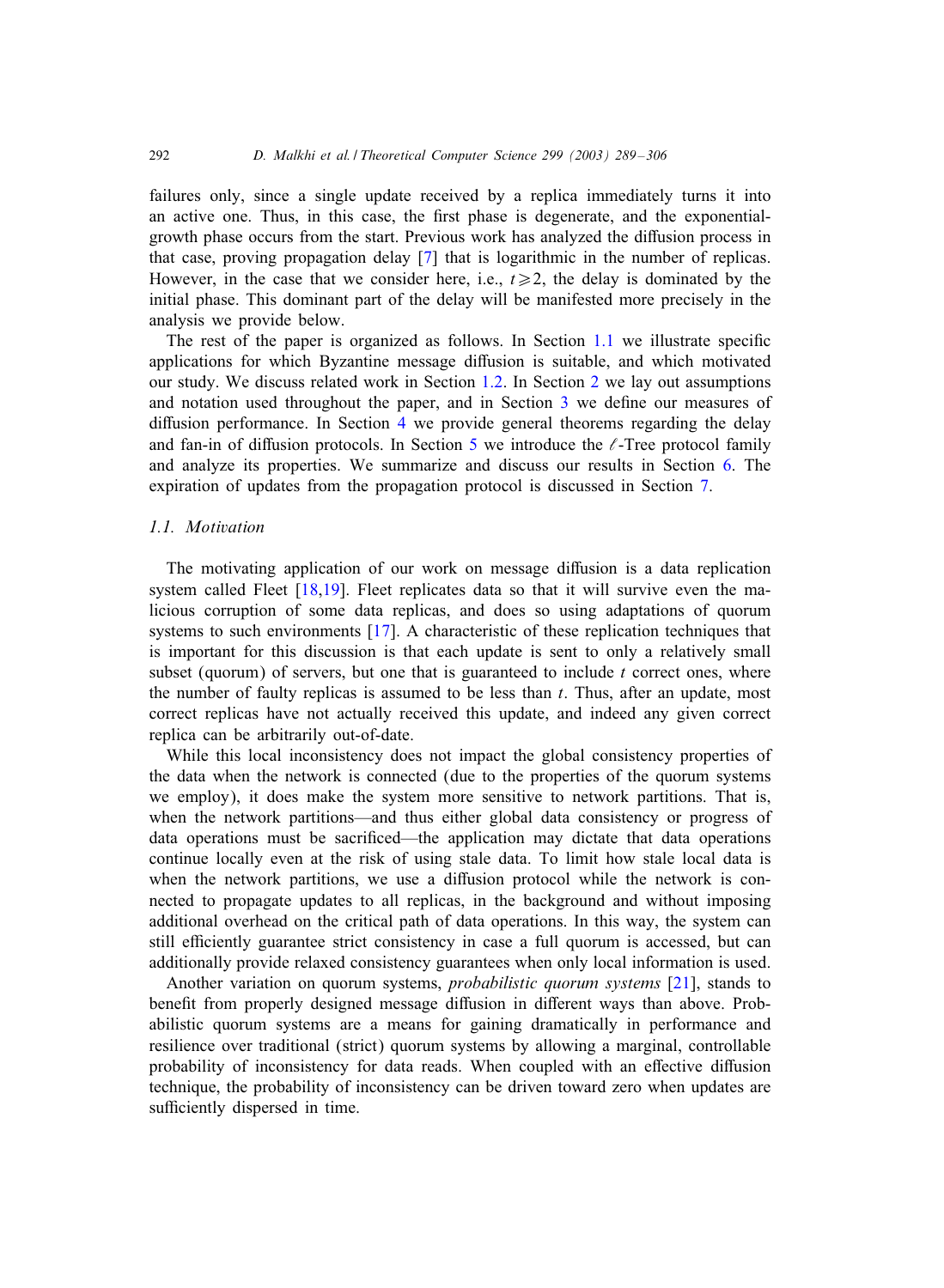failures only, since a single update received by a replica immediately turns it into an active one. Thus, in this case, the first phase is degenerate, and the exponentialgrowth phase occurs from the start. Previous work has analyzed the diffusion process in that case, proving propagation delay [\[7\]](#page-16-0) that is logarithmic in the number of replicas. However, in the case that we consider here, i.e.,  $t \ge 2$ , the delay is dominated by the initial phase. This dominant part of the delay will be manifested more precisely in the analysis we provide below.

The rest of the paper is organized as follows. In Section  $1.1$  we illustrate specific applications for which Byzantine message diffusion is suitable, and which motivated our study. We discuss related work in Section [1.2.](#page-4-0) In Section [2](#page-5-0) we lay out assumptions and notation used throughout the paper, and in Section  $3$  we define our measures of diffusion performance. In Section [4](#page-6-0) we provide general theorems regarding the delay and fan-in of diffusion protocols. In Section [5](#page-7-0) we introduce the  $\ell$ -Tree protocol family and analyze its properties. We summarize and discuss our results in Section [6.](#page-15-0) The expiration of updates from the propagation protocol is discussed in Section [7.](#page-15-0)

## *1.1. Motivation*

The motivating application of our work on message diffusion is a data replication system called Fleet [\[18,19\]](#page-16-0). Fleet replicates data so that it will survive even the malicious corruption of some data replicas, and does so using adaptations of quorum systems to such environments [\[17\]](#page-16-0). A characteristic of these replication techniques that is important for this discussion is that each update is sent to only a relatively small subset (quorum) of servers, but one that is guaranteed to include  $t$  correct ones, where the number of faulty replicas is assumed to be less than  $t$ . Thus, after an update, most correct replicas have not actually received this update, and indeed any given correct replica can be arbitrarily out-of-date.

While this local inconsistency does not impact the global consistency properties of the data when the network is connected (due to the properties of the quorum systems we employ), it does make the system more sensitive to network partitions. That is, when the network partitions—and thus either global data consistency or progress of data operations must be sacrificed—the application may dictate that data operations continue locally even at the risk of using stale data. To limit how stale local data is when the network partitions, we use a diffusion protocol while the network is connected to propagate updates to all replicas, in the background and without imposing additional overhead on the critical path of data operations. In this way, the system can still efficiently guarantee strict consistency in case a full quorum is accessed, but can additionally provide relaxed consistency guarantees when only local information is used.

Another variation on quorum systems, *probabilistic quorum systems* [\[21\]](#page-17-0), stands to benefit from properly designed message diffusion in different ways than above. Probabilistic quorum systems are a means for gaining dramatically in performance and resilience over traditional (strict) quorum systems by allowing a marginal, controllable probability of inconsistency for data reads. When coupled with an effective diffusion technique, the probability of inconsistency can be driven toward zero when updates are sufficiently dispersed in time.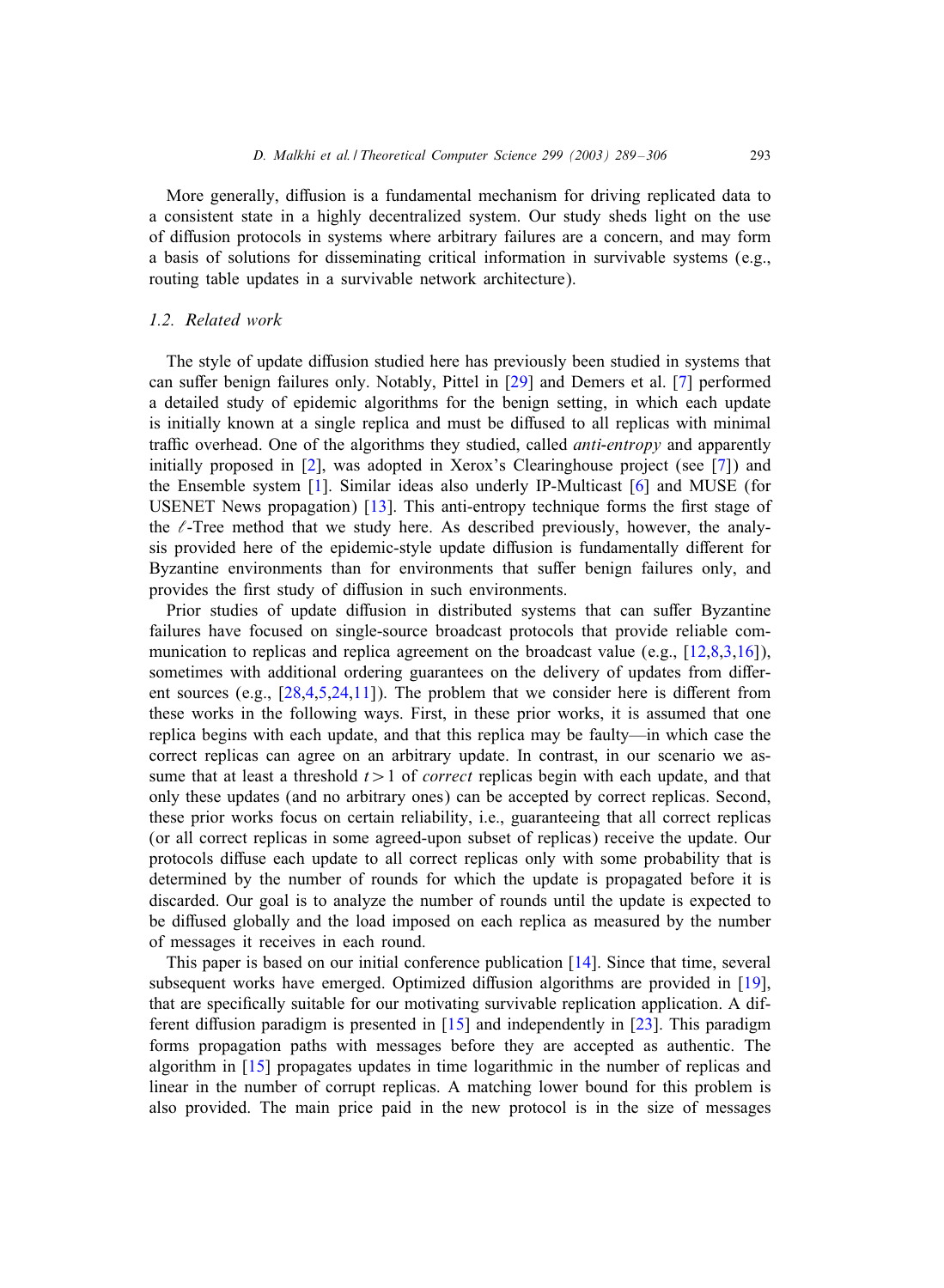<span id="page-4-0"></span>More generally, diffusion is a fundamental mechanism for driving replicated data to a consistent state in a highly decentralized system. Our study sheds light on the use of diffusion protocols in systems where arbitrary failures are a concern, and may form a basis of solutions for disseminating critical information in survivable systems (e.g., routing table updates in a survivable network architecture).

## *1.2. Related work*

The style of update diffusion studied here has previously been studied in systems that can suffer benign failures only. Notably, Pittel in [\[29\]](#page-17-0) and Demers et al. [\[7\]](#page-16-0) performed a detailed study of epidemic algorithms for the benign setting, in which each update is initially known at a single replica and must be diffused to all replicas with minimal tra5c overhead. One of the algorithms they studied, called *anti-entropy* and apparently initially proposed in [\[2\]](#page-16-0), was adopted in Xerox's Clearinghouse project (see [\[7\]](#page-16-0)) and the Ensemble system [\[1\]](#page-16-0). Similar ideas also underly IP-Multicast [\[6\]](#page-16-0) and MUSE (for USENET News propagation)  $[13]$ . This anti-entropy technique forms the first stage of the  $\ell$ -Tree method that we study here. As described previously, however, the analysis provided here of the epidemic-style update diffusion is fundamentally different for Byzantine environments than for environments that suffer benign failures only, and provides the first study of diffusion in such environments.

Prior studies of update diffusion in distributed systems that can suffer Byzantine failures have focused on single-source broadcast protocols that provide reliable com-munication to replicas and replica agreement on the broadcast value (e.g., [\[12,8,3,16\]](#page-16-0)), sometimes with additional ordering guarantees on the delivery of updates from different sources (e.g.,  $[28,4,5,24,11]$  $[28,4,5,24,11]$  $[28,4,5,24,11]$  $[28,4,5,24,11]$ ). The problem that we consider here is different from these works in the following ways. First, in these prior works, it is assumed that one replica begins with each update, and that this replica may be faulty—in which case the correct replicas can agree on an arbitrary update. In contrast, in our scenario we assume that at least a threshold  $t > 1$  of *correct* replicas begin with each update, and that only these updates (and no arbitrary ones) can be accepted by correct replicas. Second, these prior works focus on certain reliability, i.e., guaranteeing that all correct replicas (or all correct replicas in some agreed-upon subset of replicas) receive the update. Our protocols diffuse each update to all correct replicas only with some probability that is determined by the number of rounds for which the update is propagated before it is discarded. Our goal is to analyze the number of rounds until the update is expected to be diffused globally and the load imposed on each replica as measured by the number of messages it receives in each round.

This paper is based on our initial conference publication [\[14\]](#page-16-0). Since that time, several subsequent works have emerged. Optimized diffusion algorithms are provided in  $[19]$ , that are specifically suitable for our motivating survivable replication application. A different diffusion paradigm is presented in  $[15]$  and independently in  $[23]$ . This paradigm forms propagation paths with messages before they are accepted as authentic. The algorithm in [\[15\]](#page-16-0) propagates updates in time logarithmic in the number of replicas and linear in the number of corrupt replicas. A matching lower bound for this problem is also provided. The main price paid in the new protocol is in the size of messages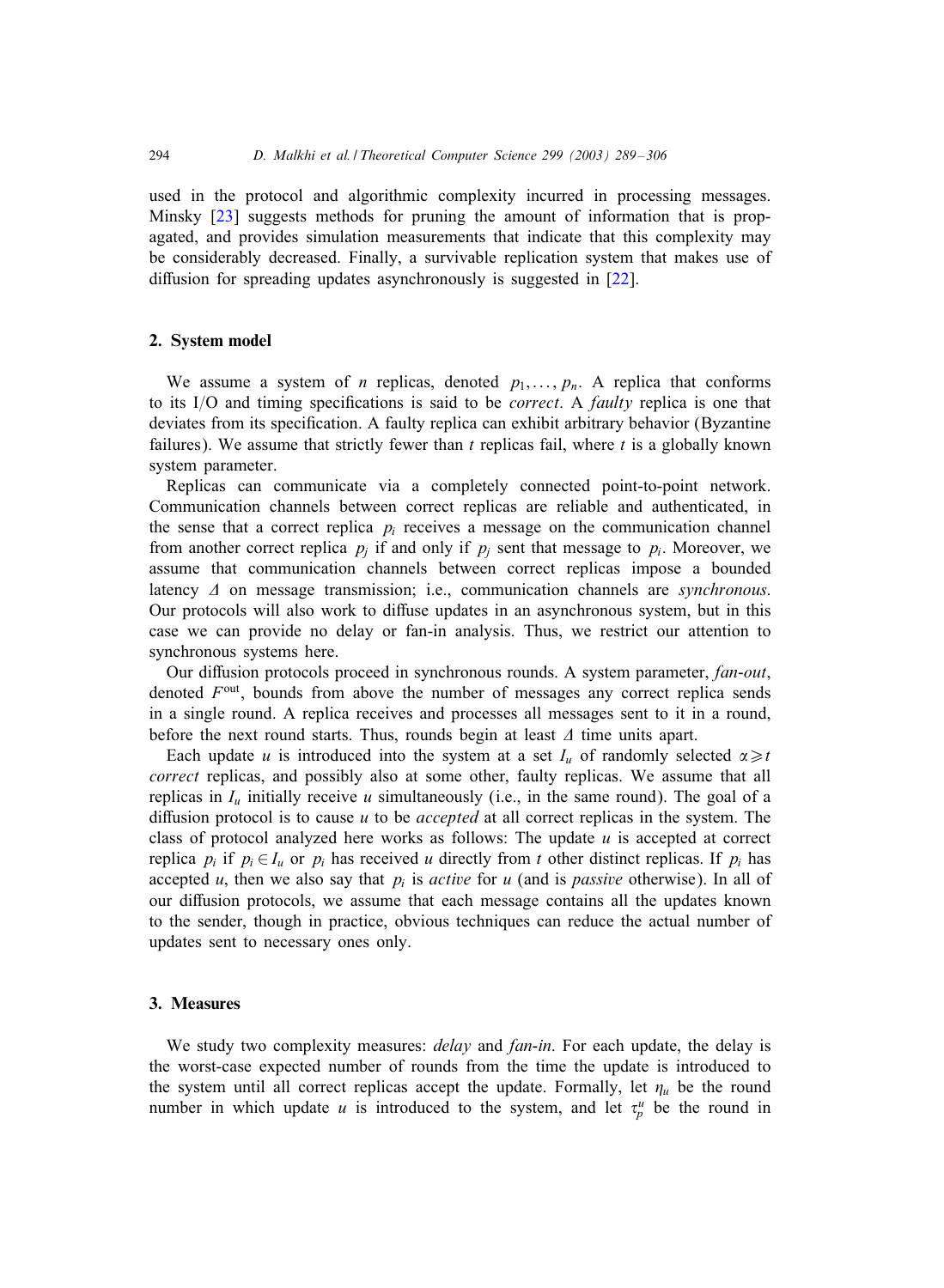<span id="page-5-0"></span>used in the protocol and algorithmic complexity incurred in processing messages. Minsky [\[23\]](#page-17-0) suggests methods for pruning the amount of information that is propagated, and provides simulation measurements that indicate that this complexity may be considerably decreased. Finally, a survivable replication system that makes use of diffusion for spreading updates asynchronously is suggested in  $[22]$ .

## 2. System model

We assume a system of *n* replicas, denoted  $p_1, \ldots, p_n$ . A replica that conforms to its I/O and timing specifications is said to be *correct*. A *faulty* replica is one that deviates from its specification. A faulty replica can exhibit arbitrary behavior (Byzantine failures). We assume that strictly fewer than  $t$  replicas fail, where  $t$  is a globally known system parameter.

Replicas can communicate via a completely connected point-to-point network. Communication channels between correct replicas are reliable and authenticated, in the sense that a correct replica  $p_i$  receives a message on the communication channel from another correct replica  $p_i$  if and only if  $p_i$  sent that message to  $p_i$ . Moreover, we assume that communication channels between correct replicas impose a bounded latency  $\Delta$  on message transmission; i.e., communication channels are *synchronous*. Our protocols will also work to diffuse updates in an asynchronous system, but in this case we can provide no delay or fan-in analysis. Thus, we restrict our attention to synchronous systems here.

Our diffusion protocols proceed in synchronous rounds. A system parameter, *fan-out*, denoted  $F<sup>out</sup>$ , bounds from above the number of messages any correct replica sends in a single round. A replica receives and processes all messages sent to it in a round, before the next round starts. Thus, rounds begin at least  $\Delta$  time units apart.

Each update u is introduced into the system at a set  $I_u$  of randomly selected  $\alpha \ge t$ *correct* replicas, and possibly also at some other, faulty replicas. We assume that all replicas in  $I_u$  initially receive u simultaneously (i.e., in the same round). The goal of a diffusion protocol is to cause  $u$  to be *accepted* at all correct replicas in the system. The class of protocol analyzed here works as follows: The update  $u$  is accepted at correct replica  $p_i$  if  $p_i \in I_u$  or  $p_i$  has received u directly from t other distinct replicas. If  $p_i$  has accepted u, then we also say that  $p_i$  is *active* for u (and is *passive* otherwise). In all of our diffusion protocols, we assume that each message contains all the updates known to the sender, though in practice, obvious techniques can reduce the actual number of updates sent to necessary ones only.

#### 3. Measures

We study two complexity measures: *delay* and *fan-in*. For each update, the delay is the worst-case expected number of rounds from the time the update is introduced to the system until all correct replicas accept the update. Formally, let  $\eta_u$  be the round number in which update u is introduced to the system, and let  $\tau_p^u$  be the round in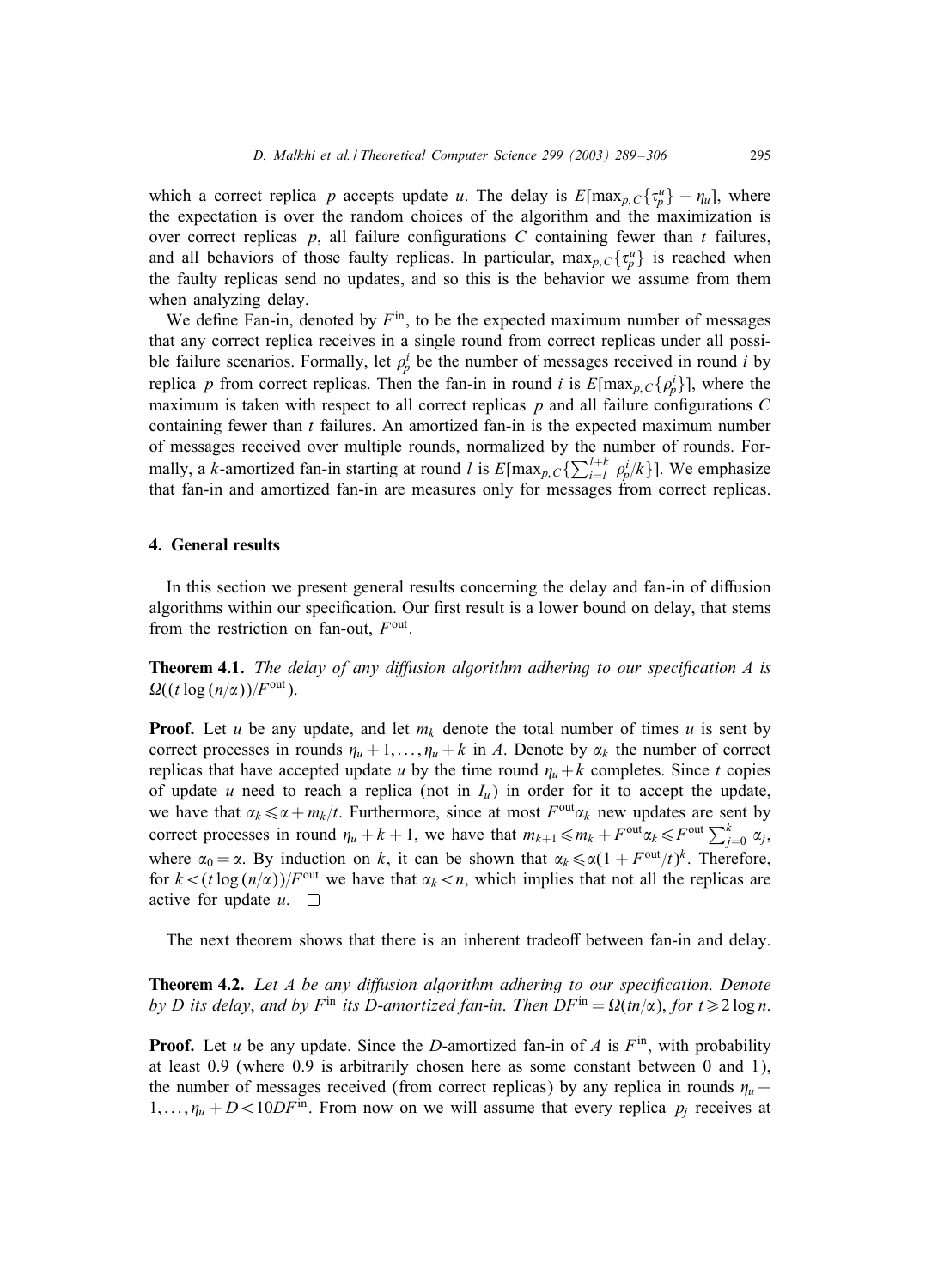<span id="page-6-0"></span>which a correct replica p accepts update u. The delay is  $E[\max_{p,C} {\{\tau_p^u\}} - \eta_u]$ , where the expectation is over the random choices of the algorithm and the maximization is over correct replicas  $p$ , all failure configurations C containing fewer than t failures, and all behaviors of those faulty replicas. In particular,  $\max_{p,C} {\{\tau_p^u\}}$  is reached when the faulty replicas send no updates, and so this is the behavior we assume from them when analyzing delay.

We define Fan-in, denoted by  $F<sup>in</sup>$ , to be the expected maximum number of messages that any correct replica receives in a single round from correct replicas under all possible failure scenarios. Formally, let  $\rho_p^i$  be the number of messages received in round *i* by replica p from correct replicas. Then the fan-in in round i is  $E[\max_{p,C} {\{\rho_p^i\}}]$ , where the maximum is taken with respect to all correct replicas  $p$  and all failure configurations  $C$ containing fewer than  $t$  failures. An amortized fan-in is the expected maximum number of messages received over multiple rounds, normalized by the number of rounds. Formally, a k-amortized fan-in starting at round l is  $E[\max_{p,C} {\sum_{i=1}^{l+k} \rho_p^i/k}].$  We emphasize that fan-in and amortized fan-in are measures only for messages from correct replicas.

#### 4. General results

In this section we present general results concerning the delay and fan-in of diffusion algorithms within our specification. Our first result is a lower bound on delay, that stems from the restriction on fan-out,  $F<sup>out</sup>$ .

**Theorem 4.1.** *The delay of any diffusion algorithm adhering to our specification A is*  $\Omega((t \log (n/\alpha))/F^{\text{out}}).$ 

**Proof.** Let u be any update, and let  $m_k$  denote the total number of times u is sent by correct processes in rounds  $\eta_u + 1, \ldots, \eta_u + k$  in A. Denote by  $\alpha_k$  the number of correct replicas that have accepted update u by the time round  $\eta_u+k$  completes. Since t copies of update u need to reach a replica (not in  $I_u$ ) in order for it to accept the update, we have that  $\alpha_k \le \alpha + m_k/t$ . Furthermore, since at most  $F^{\text{out}} \alpha_k$  new updates are sent by correct processes in round  $\eta_u + k + 1$ , we have that  $m_{k+1} \leq m_k + F^{\text{out}} \alpha_k \leq F^{\text{out}} \sum_{j=0}^k \alpha_j$ , where  $\alpha_0 = \alpha$ . By induction on k, it can be shown that  $\alpha_k \leq \alpha(1 + F^{out}/t)^k$ . Therefore, for  $k < (t \log(n/\alpha))/F^{out}$  we have that  $\alpha_k < n$ , which implies that not all the replicas are active for update  $u$ .  $\square$ 

The next theorem shows that there is an inherent tradeoff between fan-in and delay.

**Theorem 4.2.** Let A be any diffusion algorithm adhering to our specification. Denote *by D its delay*, *and by*  $F^{in}$  *its D-amortized fan-in. Then*  $DF^{in} = \Omega(tn/\alpha)$ , *for*  $t \ge 2 \log n$ .

**Proof.** Let u be any update. Since the D-amortized fan-in of A is  $F<sup>in</sup>$ , with probability at least 0.9 (where 0.9 is arbitrarily chosen here as some constant between 0 and 1), the number of messages received (from correct replicas) by any replica in rounds  $\eta_u$  +  $1, \ldots, \eta_u + D < 10DF^{\text{in}}$ . From now on we will assume that every replica  $p_i$  receives at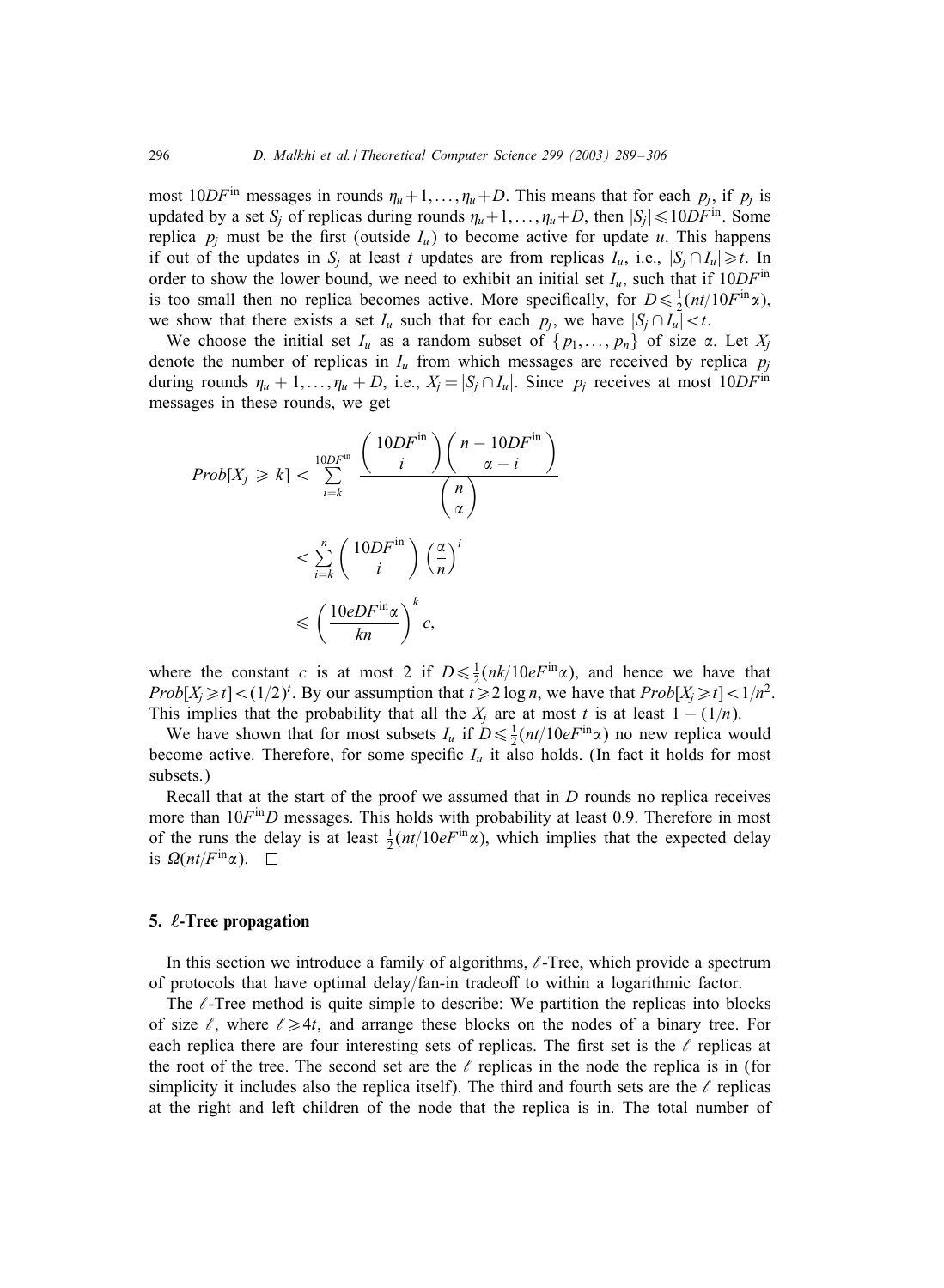<span id="page-7-0"></span>most 10DF<sup>in</sup> messages in rounds  $\eta_u+1,\ldots,\eta_u+D$ . This means that for each  $p_j$ , if  $p_j$  is updated by a set  $S_i$  of replicas during rounds  $\eta_u+1,\ldots,\eta_u+D$ , then  $|S_i| \leq 10DF^{\text{in}}$ . Some replica  $p_i$  must be the first (outside  $I_u$ ) to become active for update u. This happens if out of the updates in  $S_i$  at least t updates are from replicas  $I_u$ , i.e.,  $|S_i \cap I_u| \geq t$ . In order to show the lower bound, we need to exhibit an initial set  $I_u$ , such that if  $10DF<sup>in</sup>$ is too small then no replica becomes active. More specifically, for  $D \le \frac{1}{2}(nt/10F^{\text{in}}\alpha)$ , we show that there exists a set  $I_u$  such that for each  $p_i$ , we have  $|S_i \cap I_u| < t$ .

We choose the initial set  $I_u$  as a random subset of  $\{p_1,\ldots,p_n\}$  of size  $\alpha$ . Let  $X_i$ denote the number of replicas in  $I_u$  from which messages are received by replica  $p_j$ during rounds  $\eta_u + 1, \ldots, \eta_u + D$ , i.e.,  $X_i = |S_i \cap I_u|$ . Since  $p_i$  receives at most  $10DF$ <sup>in</sup> messages in these rounds, we get

$$
Prob[X_j \ge k] < \sum_{i=k}^{10DF^{\text{in}}} \frac{\binom{10DF^{\text{in}}}{i}\binom{n-10DF^{\text{in}}}{\alpha-i}}{\binom{n}{\alpha}}
$$
\n
$$
< \sum_{i=k}^{n} \binom{10DF^{\text{in}}}{i} \left(\frac{\alpha}{n}\right)^{i}
$$
\n
$$
\le \left(\frac{10eDF^{\text{in}}\alpha}{kn}\right)^{k} c,
$$

where the constant c is at most 2 if  $D \le \frac{1}{2}(nk/10eF^{\text{in}}\alpha)$ , and hence we have that *Prob* $[X_j \ge t] < (1/2)^t$ . By our assumption that  $t \ge 2 \log n$ , we have that  $Prob[X_j \ge t] < 1/n^2$ . This implies that the probability that all the  $X_i$  are at most t is at least  $1 - (1/n)$ .

We have shown that for most subsets  $I_u$  if  $D \le \frac{1}{2}(nt/10eF^{\text{in}}\alpha)$  no new replica would become active. Therefore, for some specific  $I_u$  it also holds. (In fact it holds for most subsets.)

Recall that at the start of the proof we assumed that in  $D$  rounds no replica receives more than  $10F^{\text{in}}D$  messages. This holds with probability at least 0.9. Therefore in most of the runs the delay is at least  $\frac{1}{2}(nt/10eF^{\text{in}}\alpha)$ , which implies that the expected delay is  $\Omega(nt/F^{in}\alpha)$ .  $\square$ 

## 5. *'*-Tree propagation

In this section we introduce a family of algorithms,  $\ell$ -Tree, which provide a spectrum of protocols that have optimal delay/fan-in tradeoff to within a logarithmic factor.

The  $\ell$ -Tree method is quite simple to describe: We partition the replicas into blocks of size  $\ell$ , where  $\ell \ge 4t$ , and arrange these blocks on the nodes of a binary tree. For each replica there are four interesting sets of replicas. The first set is the  $\ell$  replicas at the root of the tree. The second set are the  $\ell$  replicas in the node the replica is in (for simplicity it includes also the replica itself). The third and fourth sets are the  $\ell$  replicas at the right and left children of the node that the replica is in. The total number of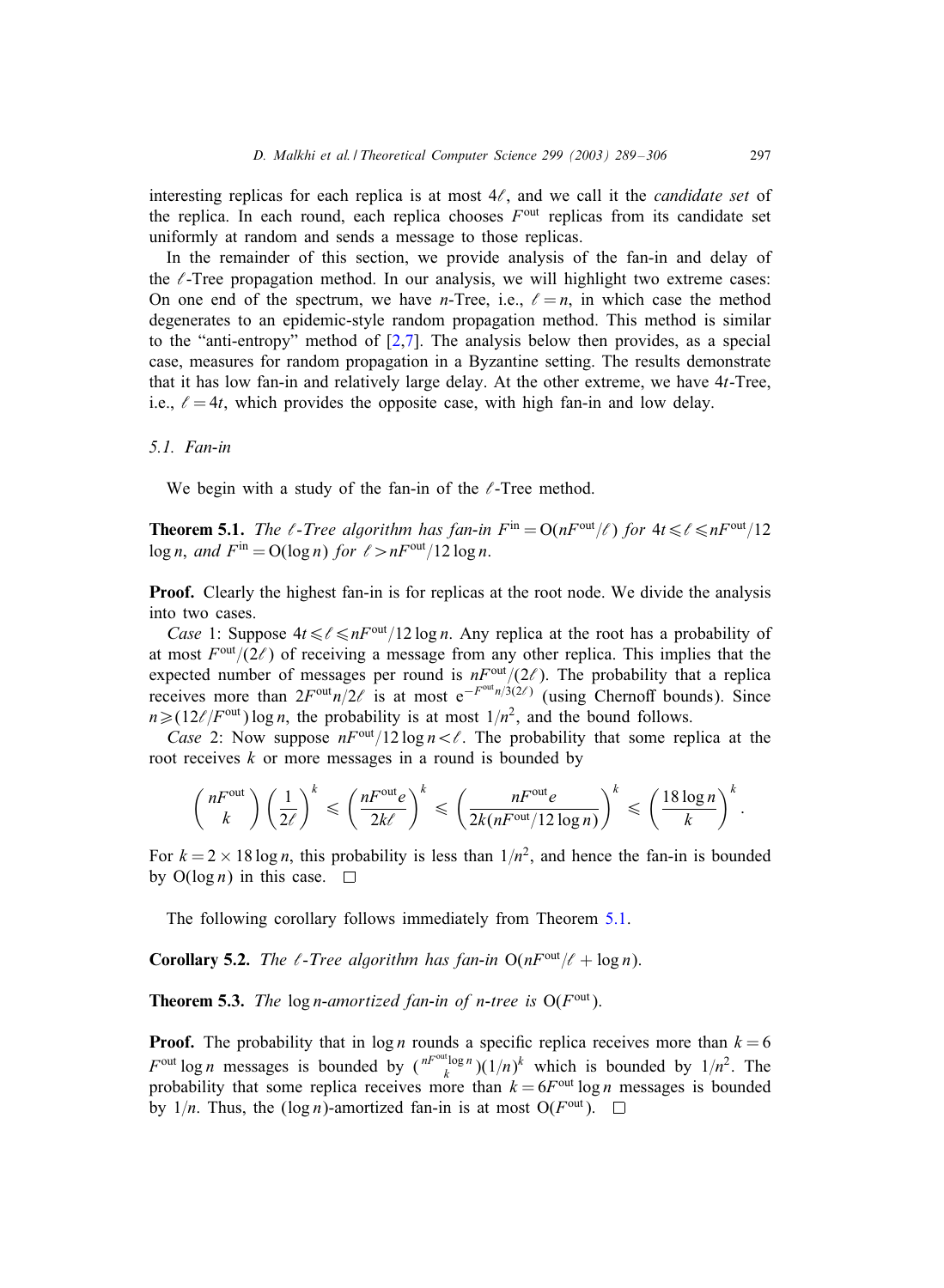interesting replicas for each replica is at most 4', and we call it the *candidate set* of the replica. In each round, each replica chooses  $F<sup>out</sup>$  replicas from its candidate set uniformly at random and sends a message to those replicas.

In the remainder of this section, we provide analysis of the fan-in and delay of the  $\ell$ -Tree propagation method. In our analysis, we will highlight two extreme cases: On one end of the spectrum, we have *n*-Tree, i.e.,  $\ell = n$ , in which case the method degenerates to an epidemic-style random propagation method. This method is similar to the "anti-entropy" method of [\[2,7\]](#page-16-0). The analysis below then provides, as a special case, measures for random propagation in a Byzantine setting. The results demonstrate that it has low fan-in and relatively large delay. At the other extreme, we have 4t-Tree, i.e.,  $\ell = 4t$ , which provides the opposite case, with high fan-in and low delay.

## *5.1. Fan-in*

We begin with a study of the fan-in of the  $\ell$ -Tree method.

**Theorem 5.1.** *The*  $\ell$ -*Tree algorithm has fan-in*  $F^{in} = O(nF^{out}/\ell)$  *for*  $4t \leq \ell \leq nF^{out}/12$  $\log n$ , *and*  $F^{\text{in}} = O(\log n)$  *for*  $\ell > nF^{\text{out}}/12 \log n$ .

Proof. Clearly the highest fan-in is for replicas at the root node. We divide the analysis into two cases.

*Case* 1: Suppose  $4t \le \ell \le nF^{out}/12 \log n$ . Any replica at the root has a probability of at most  $F<sup>out</sup>/(2\ell)$  of receiving a message from any other replica. This implies that the expected number of messages per round is  $nF<sup>out</sup>/(2\ell)$ . The probability that a replica receives more than  $2F^{\text{out}}n/2\ell$  is at most  $e^{-F^{\text{out}}n/3(2\ell)}$  (using Chernoff bounds). Since  $n \geq (12\ell/F^{out}) \log n$ , the probability is at most  $1/n^2$ , and the bound follows.

*Case* 2: Now suppose  $nF<sup>out</sup>/12 \log n < \ell$ . The probability that some replica at the root receives  $k$  or more messages in a round is bounded by

$$
\binom{nF^{\text{out}}}{k}\left(\frac{1}{2\ell}\right)^k \leqslant \left(\frac{nF^{\text{out}}e}{2k\ell}\right)^k \leqslant \left(\frac{nF^{\text{out}}e}{2k(nF^{\text{out}}/12\log n)}\right)^k \leqslant \left(\frac{18\log n}{k}\right)^k.
$$

For  $k = 2 \times 18 \log n$ , this probability is less than  $1/n^2$ , and hence the fan-in is bounded by  $O(log n)$  in this case.  $\Box$ 

The following corollary follows immediately from Theorem 5.1.

**Corollary 5.2.** *The*  $\ell$ *-Tree algorithm has fan-in*  $O(nF^{out}/\ell + \log n)$ .

Theorem 5.3. *The* log n-*amortized fan-in of* n*-tree is* O(Fout).

**Proof.** The probability that in  $\log n$  rounds a specific replica receives more than  $k = 6$  $F<sup>out</sup> \log n$  messages is bounded by  $\binom{nF<sup>out</sup> \log n}{k}$  (1/n)<sup>k</sup> which is bounded by 1/n<sup>2</sup>. The probability that some replica receives more than  $k = 6F<sup>out</sup> \log n$  messages is bounded by  $1/n$ . Thus, the (log n)-amortized fan-in is at most O( $F<sup>out</sup>$ ).  $\Box$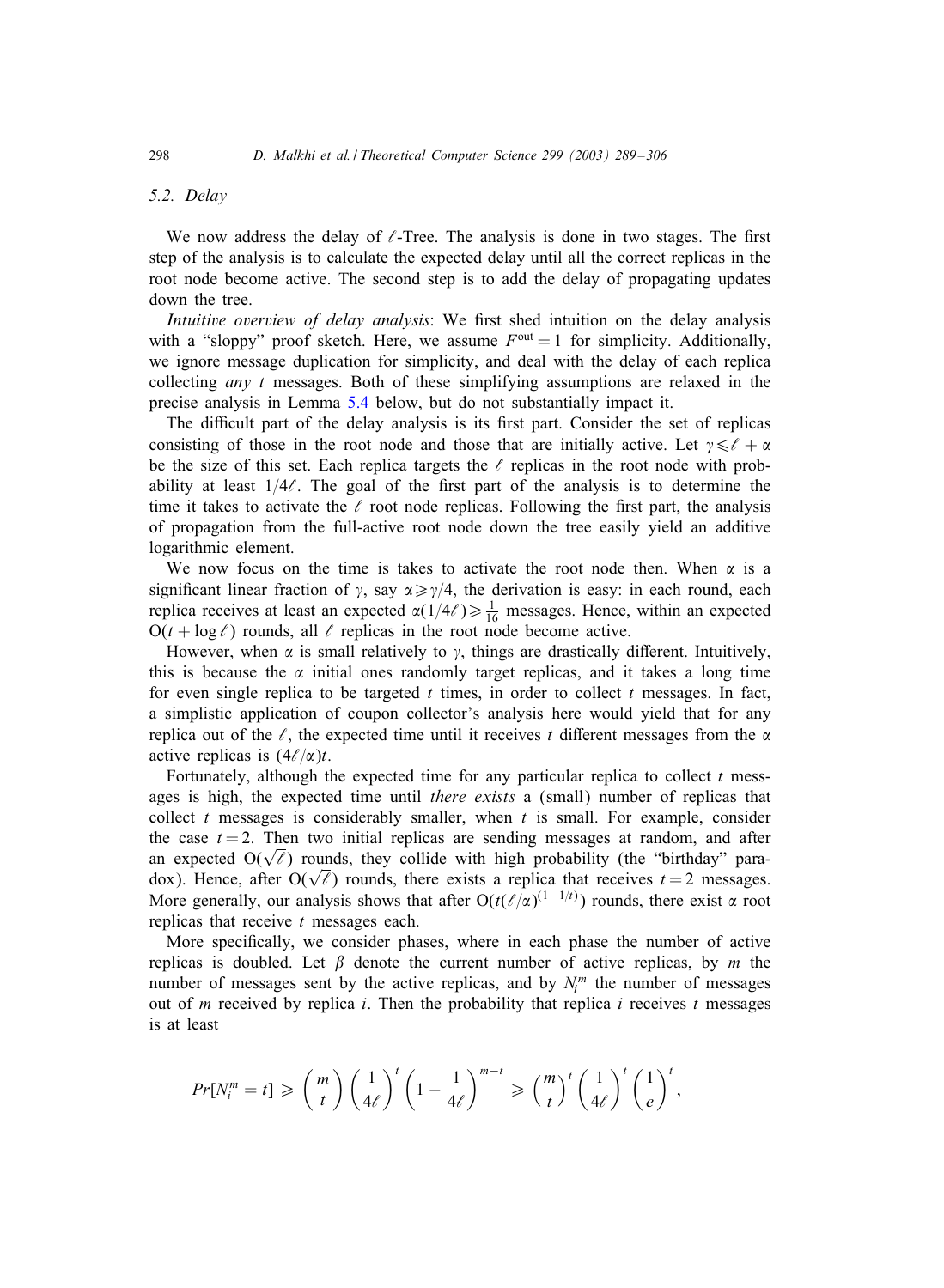## *5.2. Delay*

We now address the delay of  $\ell$ -Tree. The analysis is done in two stages. The first step of the analysis is to calculate the expected delay until all the correct replicas in the root node become active. The second step is to add the delay of propagating updates down the tree.

*Intuitive overview of delay analysis*: We first shed intuition on the delay analysis with a "sloppy" proof sketch. Here, we assume  $F<sup>out</sup> = 1$  for simplicity. Additionally, we ignore message duplication for simplicity, and deal with the delay of each replica collecting *any* t messages. Both of these simplifying assumptions are relaxed in the precise analysis in Lemma [5.4](#page-10-0) below, but do not substantially impact it.

The difficult part of the delay analysis is its first part. Consider the set of replicas consisting of those in the root node and those that are initially active. Let  $\gamma \leq \ell + \alpha$ be the size of this set. Each replica targets the  $\ell$  replicas in the root node with probability at least  $1/4\ell$ . The goal of the first part of the analysis is to determine the time it takes to activate the  $\ell$  root node replicas. Following the first part, the analysis of propagation from the full-active root node down the tree easily yield an additive logarithmic element.

We now focus on the time is takes to activate the root node then. When  $\alpha$  is a significant linear fraction of  $\gamma$ , say  $\alpha \ge \gamma/4$ , the derivation is easy: in each round, each replica receives at least an expected  $\alpha(1/4\ell) \geq \frac{1}{16}$  messages. Hence, within an expected  $O(t + \log \ell)$  rounds, all  $\ell$  replicas in the root node become active.

However, when  $\alpha$  is small relatively to  $\gamma$ , things are drastically different. Intuitively, this is because the  $\alpha$  initial ones randomly target replicas, and it takes a long time for even single replica to be targeted  $t$  times, in order to collect  $t$  messages. In fact, a simplistic application of coupon collector's analysis here would yield that for any replica out of the  $\ell$ , the expected time until it receives t different messages from the  $\alpha$ active replicas is  $(4\ell/\alpha)t$ .

Fortunately, although the expected time for any particular replica to collect  $t$  messages is high, the expected time until *there exists* a (small) number of replicas that collect  $t$  messages is considerably smaller, when  $t$  is small. For example, consider the case  $t = 2$ . Then two initial replicas are sending messages at random, and after the case  $t = 2$ . Then two initial replicas are sending messages at random, and after an expected O( $\sqrt{\ell}$ ) rounds, they collide with high probability (the "birthday" paraan expected  $O(\sqrt{\ell})$  rounds, they comde with high probability (the birthday paradox). Hence, after  $O(\sqrt{\ell})$  rounds, there exists a replica that receives  $t = 2$  messages. More generally, our analysis shows that after  $O(t(\ell/\alpha)^{(1-1/t)})$  rounds, there exist  $\alpha$  root replicas that receive *t* messages each.

More specifically, we consider phases, where in each phase the number of active replicas is doubled. Let  $\beta$  denote the current number of active replicas, by m the number of messages sent by the active replicas, and by  $N_i^m$  the number of messages out of m received by replica i. Then the probability that replica i receives t messages is at least

$$
Pr[N_i^m = t] \geqslant {m \choose t} \left(\frac{1}{4\ell}\right)^t \left(1 - \frac{1}{4\ell}\right)^{m-t} \geqslant {m \choose t}^t \left(\frac{1}{4\ell}\right)^t \left(\frac{1}{e}\right)^t,
$$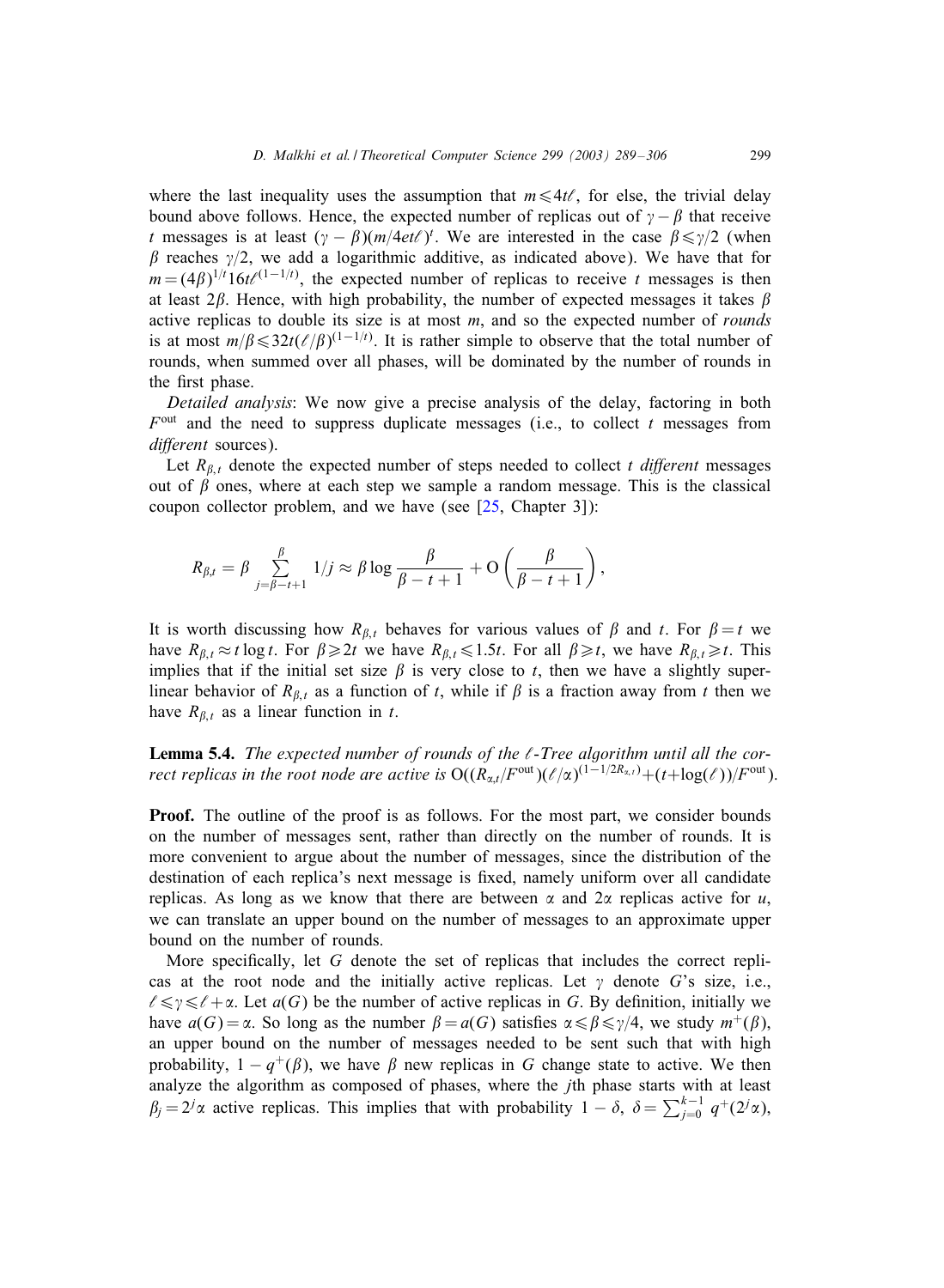<span id="page-10-0"></span>where the last inequality uses the assumption that  $m \leq 4t\ell$ , for else, the trivial delay bound above follows. Hence, the expected number of replicas out of  $\gamma - \beta$  that receive t messages is at least  $(\gamma - \beta)(m/4et')$ <sup>t</sup>. We are interested in the case  $\beta \le \gamma/2$  (when  $\beta$  reaches  $\gamma/2$ , we add a logarithmic additive, as indicated above). We have that for  $m = (4\beta)^{1/t} 16t\ell^{(1-1/t)}$ , the expected number of replicas to receive t messages is then at least 2 $\beta$ . Hence, with high probability, the number of expected messages it takes  $\beta$ active replicas to double its size is at most m, and so the expected number of *rounds* is at most  $m/\beta \leq 32t(\ell/\beta)^{(1-1/t)}$ . It is rather simple to observe that the total number of rounds, when summed over all phases, will be dominated by the number of rounds in the first phase.

*Detailed analysis*: We now give a precise analysis of the delay, factoring in both  $F<sup>out</sup>$  and the need to suppress duplicate messages (i.e., to collect t messages from  $differential$  sources).

Let  $R_{\beta,t}$  denote the expected number of steps needed to collect t different messages out of  $\beta$  ones, where at each step we sample a random message. This is the classical coupon collector problem, and we have (see [\[25,](#page-17-0) Chapter 3]):

$$
R_{\beta,t} = \beta \sum_{j=\beta-t+1}^{\beta} 1/j \approx \beta \log \frac{\beta}{\beta-t+1} + O\left(\frac{\beta}{\beta-t+1}\right),\,
$$

It is worth discussing how  $R_{\beta,t}$  behaves for various values of  $\beta$  and t. For  $\beta = t$  we have  $R_{\beta,t} \approx t \log t$ . For  $\beta \geq 2t$  we have  $R_{\beta,t} \leq 1.5t$ . For all  $\beta \geq t$ , we have  $R_{\beta,t} \geq t$ . This implies that if the initial set size  $\beta$  is very close to t, then we have a slightly superlinear behavior of  $R_{\beta,t}$  as a function of t, while if  $\beta$  is a fraction away from t then we have  $R_{\beta,t}$  as a linear function in t.

Lemma 5.4. The expected number of rounds of the  $\ell$ -Tree algorithm until all the cor*rect replicas in the root node are active is*  $O((R_{\alpha,t}/F^{out})(\ell/\alpha)^{(1-1/2R_{\alpha,t})}+(t+\log(\ell))/F^{out})$ .

Proof. The outline of the proof is as follows. For the most part, we consider bounds on the number of messages sent, rather than directly on the number of rounds. It is more convenient to argue about the number of messages, since the distribution of the destination of each replica's next message is fixed, namely uniform over all candidate replicas. As long as we know that there are between  $\alpha$  and  $2\alpha$  replicas active for u, we can translate an upper bound on the number of messages to an approximate upper bound on the number of rounds.

More specifically, let G denote the set of replicas that includes the correct replicas at the root node and the initially active replicas. Let  $\gamma$  denote G's size, i.e.,  $\ell \leq \gamma \leq \ell + \alpha$ . Let  $a(G)$  be the number of active replicas in G. By definition, initially we have  $a(G) = \alpha$ . So long as the number  $\beta = a(G)$  satisfies  $\alpha \le \beta \le \gamma/4$ , we study  $m^+( \beta)$ , an upper bound on the number of messages needed to be sent such that with high probability,  $1 - q^+(\beta)$ , we have  $\beta$  new replicas in G change state to active. We then analyze the algorithm as composed of phases, where the jth phase starts with at least  $\beta_j = 2^j \alpha$  active replicas. This implies that with probability  $1 - \delta$ ,  $\delta = \sum_{j=0}^{k-1} q^+(2^j \alpha)$ ,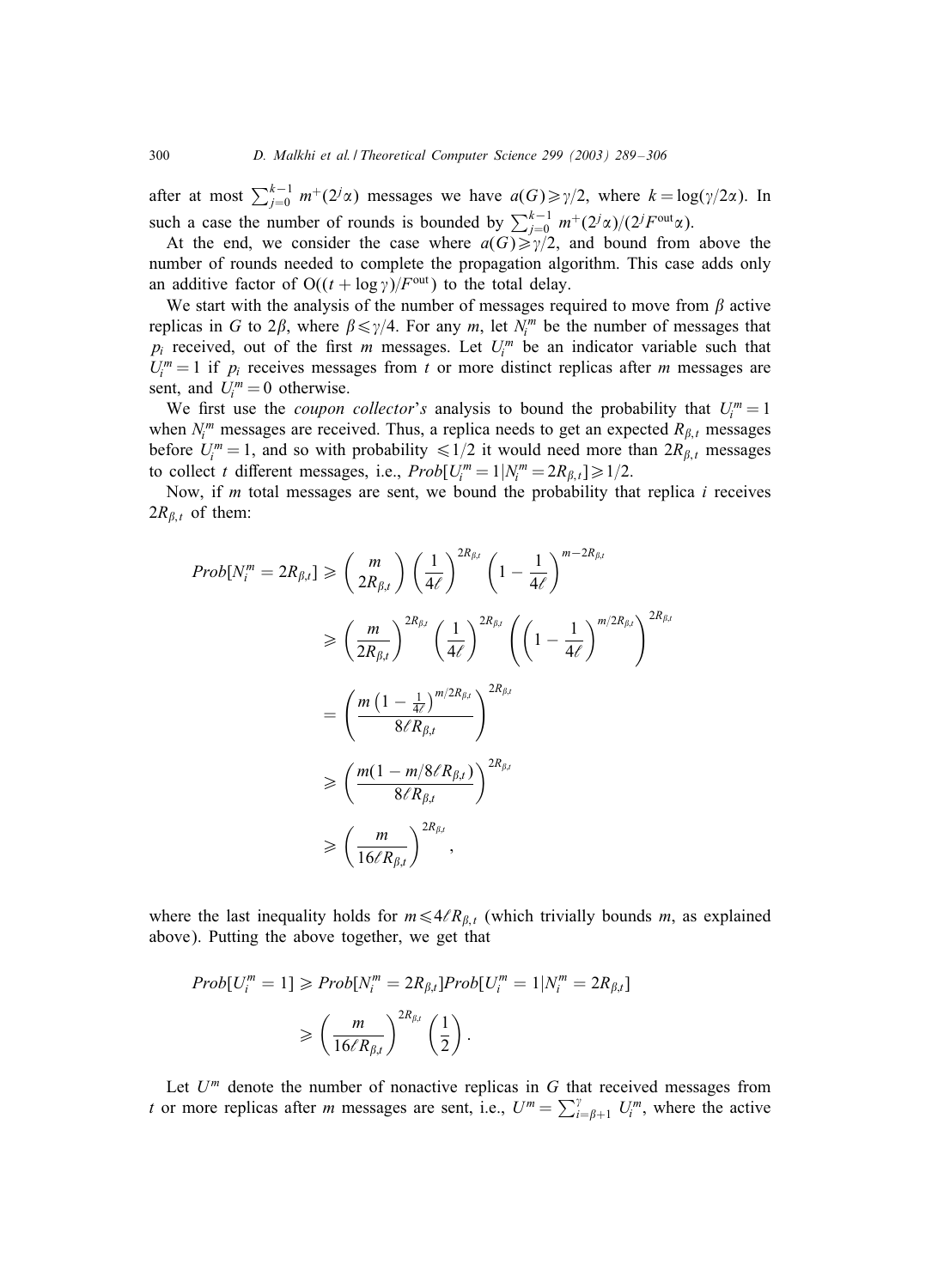after at most  $\sum_{j=0}^{k-1} m^+(2^j \alpha)$  messages we have  $a(G) \ge \gamma/2$ , where  $k = \log(\gamma/2\alpha)$ . In such a case the number of rounds is bounded by  $\sum_{j=0}^{k-1} m^+(2^j\alpha)/(2^jF^{\text{out}}\alpha)$ .

At the end, we consider the case where  $a(G) \ge \gamma/2$ , and bound from above the number of rounds needed to complete the propagation algorithm. This case adds only an additive factor of  $O((t + \log \gamma)/F^{out})$  to the total delay.

We start with the analysis of the number of messages required to move from  $\beta$  active replicas in G to 2 $\beta$ , where  $\beta \le \gamma/4$ . For any m, let  $N_i^m$  be the number of messages that  $p_i$  received, out of the first m messages. Let  $U_i^m$  be an indicator variable such that  $U_i^m = 1$  if  $p_i$  receives messages from t or more distinct replicas after m messages are sent, and  $U_i^m = 0$  otherwise.

We first use the *coupon collector*'s analysis to bound the probability that  $U_i^m = 1$ when  $N_i^m$  messages are received. Thus, a replica needs to get an expected  $R_{\beta,t}$  messages before  $U_i^m = 1$ , and so with probability  $\leq 1/2$  it would need more than  $2R_{\beta,t}$  messages to collect t different messages, i.e.,  $Prob[U_i^m = 1 | N_i^m = 2R_{\beta,t}] \ge 1/2$ .

Now, if  $m$  total messages are sent, we bound the probability that replica  $i$  receives  $2R_{\beta,t}$  of them:

$$
Prob[N_i^m = 2R_{\beta,t}] \geq \left(\frac{m}{2R_{\beta,t}}\right) \left(\frac{1}{4\ell}\right)^{2R_{\beta,t}} \left(1 - \frac{1}{4\ell}\right)^{m - 2R_{\beta,t}}
$$
  
\n
$$
\geq \left(\frac{m}{2R_{\beta,t}}\right)^{2R_{\beta,t}} \left(\frac{1}{4\ell}\right)^{2R_{\beta,t}} \left(\left(1 - \frac{1}{4\ell}\right)^{m/2R_{\beta,t}}\right)^{2R_{\beta,t}}
$$
  
\n
$$
= \left(\frac{m\left(1 - \frac{1}{4\ell}\right)^{m/2R_{\beta,t}}}{8\ell R_{\beta,t}}\right)^{2R_{\beta,t}}
$$
  
\n
$$
\geq \left(\frac{m(1 - m/8\ell R_{\beta,t})}{8\ell R_{\beta,t}}\right)^{2R_{\beta,t}}
$$
  
\n
$$
\geq \left(\frac{m}{16\ell R_{\beta,t}}\right)^{2R_{\beta,t}},
$$

where the last inequality holds for  $m \leq 4/R_{\beta,t}$  (which trivially bounds m, as explained above). Putting the above together, we get that

$$
Prob[U_i^m = 1] \ge Prob[N_i^m = 2R_{\beta,t}]Prob[U_i^m = 1 | N_i^m = 2R_{\beta,t}]
$$

$$
\ge \left(\frac{m}{16\ell R_{\beta,t}}\right)^{2R_{\beta,t}} \left(\frac{1}{2}\right).
$$

Let  $U^m$  denote the number of nonactive replicas in G that received messages from t or more replicas after m messages are sent, i.e.,  $U^m = \sum_{i=\beta+1}^{\gamma} U_i^m$ , where the active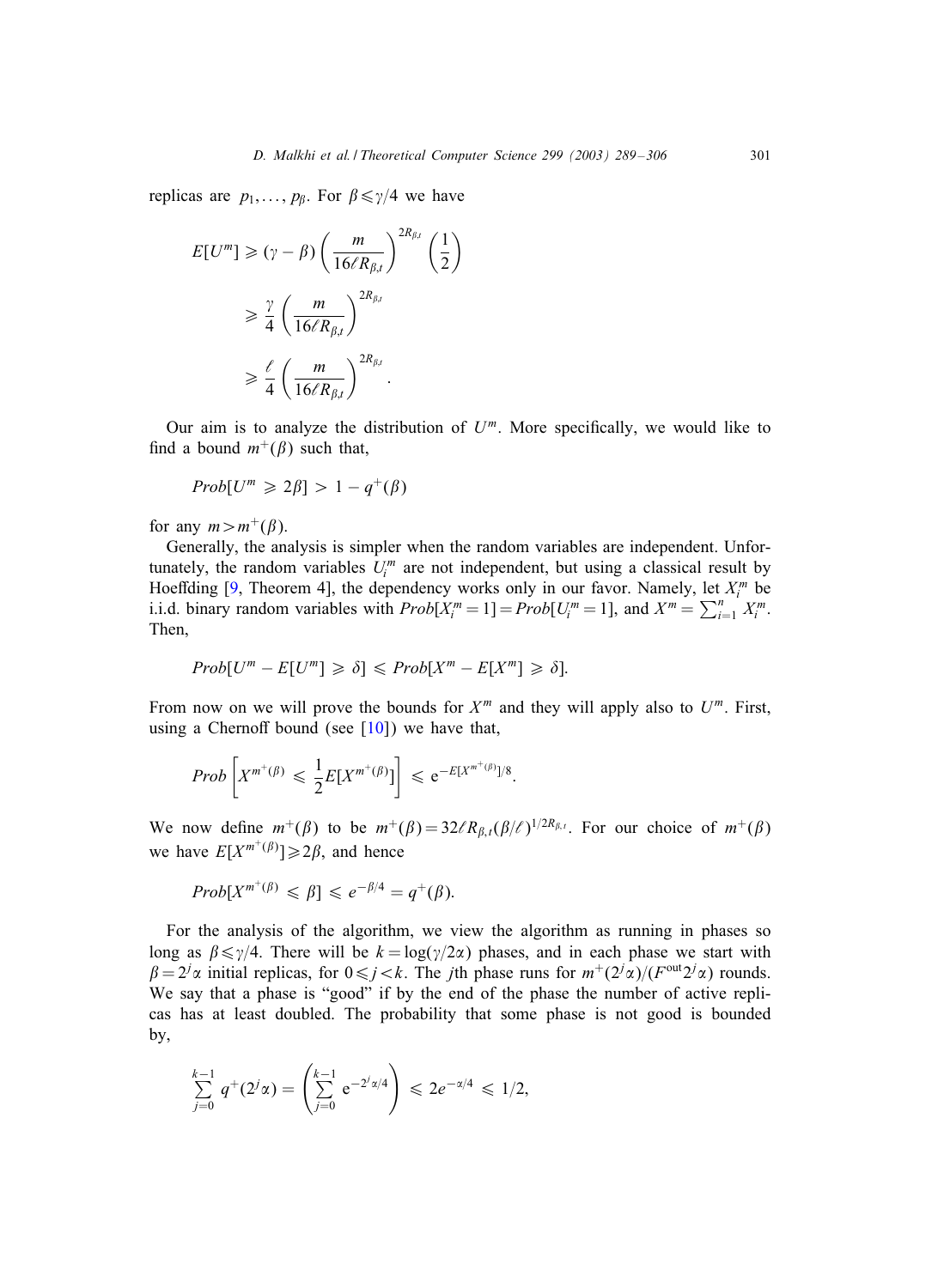replicas are  $p_1, \ldots, p_\beta$ . For  $\beta \leq \gamma/4$  we have

$$
E[Um] \ge (\gamma - \beta) \left(\frac{m}{16\ell R_{\beta,t}}\right)^{2R_{\beta,t}} \left(\frac{1}{2}\right)
$$
  

$$
\ge \frac{\gamma}{4} \left(\frac{m}{16\ell R_{\beta,t}}\right)^{2R_{\beta,t}}
$$
  

$$
\ge \frac{\ell}{4} \left(\frac{m}{16\ell R_{\beta,t}}\right)^{2R_{\beta,t}}.
$$

Our aim is to analyze the distribution of  $U^m$ . More specifically, we would like to find a bound  $m^+(\beta)$  such that,

$$
Prob[U^m \geq 2\beta] > 1 - q^+(\beta)
$$

for any  $m > m^+(\beta)$ .

Generally, the analysis is simpler when the random variables are independent. Unfortunately, the random variables  $U_i^m$  are not independent, but using a classical result by Hoeffding [\[9,](#page-16-0) Theorem 4], the dependency works only in our favor. Namely, let  $X_i^m$  be i.i.d. binary random variables with  $Prob[X_i^m = 1] = Prob[U_i^m = 1]$ , and  $X^m = \sum_{i=1}^n X_i^m$ . Then,

$$
Prob[Um - E[Um] \ge \delta] \le Prob[Xm - E[Xm] \ge \delta].
$$

From now on we will prove the bounds for  $X<sup>m</sup>$  and they will apply also to  $U<sup>m</sup>$ . First, using a Chernoff bound (see  $[10]$ ) we have that,

$$
Prob\left[X^{m^+(\beta)} \leq \frac{1}{2}E[X^{m^+(\beta)}]\right] \leq e^{-E[X^{m^+(\beta)}]/8}.
$$

We now define  $m^+(\beta)$  to be  $m^+(\beta) = 32\ell R_{\beta,t}(\beta/\ell)^{1/2R_{\beta,t}}$ . For our choice of  $m^+(\beta)$ we have  $E[X^{m^+(\beta)}] \geq 2\beta$ , and hence

$$
Prob[X^{m^+(\beta)} \leq \beta] \leq e^{-\beta/4} = q^+(\beta).
$$

For the analysis of the algorithm, we view the algorithm as running in phases so long as  $\beta \le \gamma/4$ . There will be  $k = \log(\gamma/2\alpha)$  phases, and in each phase we start with  $\beta = 2^j \alpha$  initial replicas, for  $0 \le j < k$ . The *j*th phase runs for  $m^+(2^j \alpha)/(F^{out} 2^j \alpha)$  rounds. We say that a phase is "good" if by the end of the phase the number of active replicas has at least doubled. The probability that some phase is not good is bounded by,

$$
\sum_{j=0}^{k-1} q^+(2^j \alpha) = \left( \sum_{j=0}^{k-1} e^{-2^j \alpha/4} \right) \leq 2e^{-\alpha/4} \leq 1/2,
$$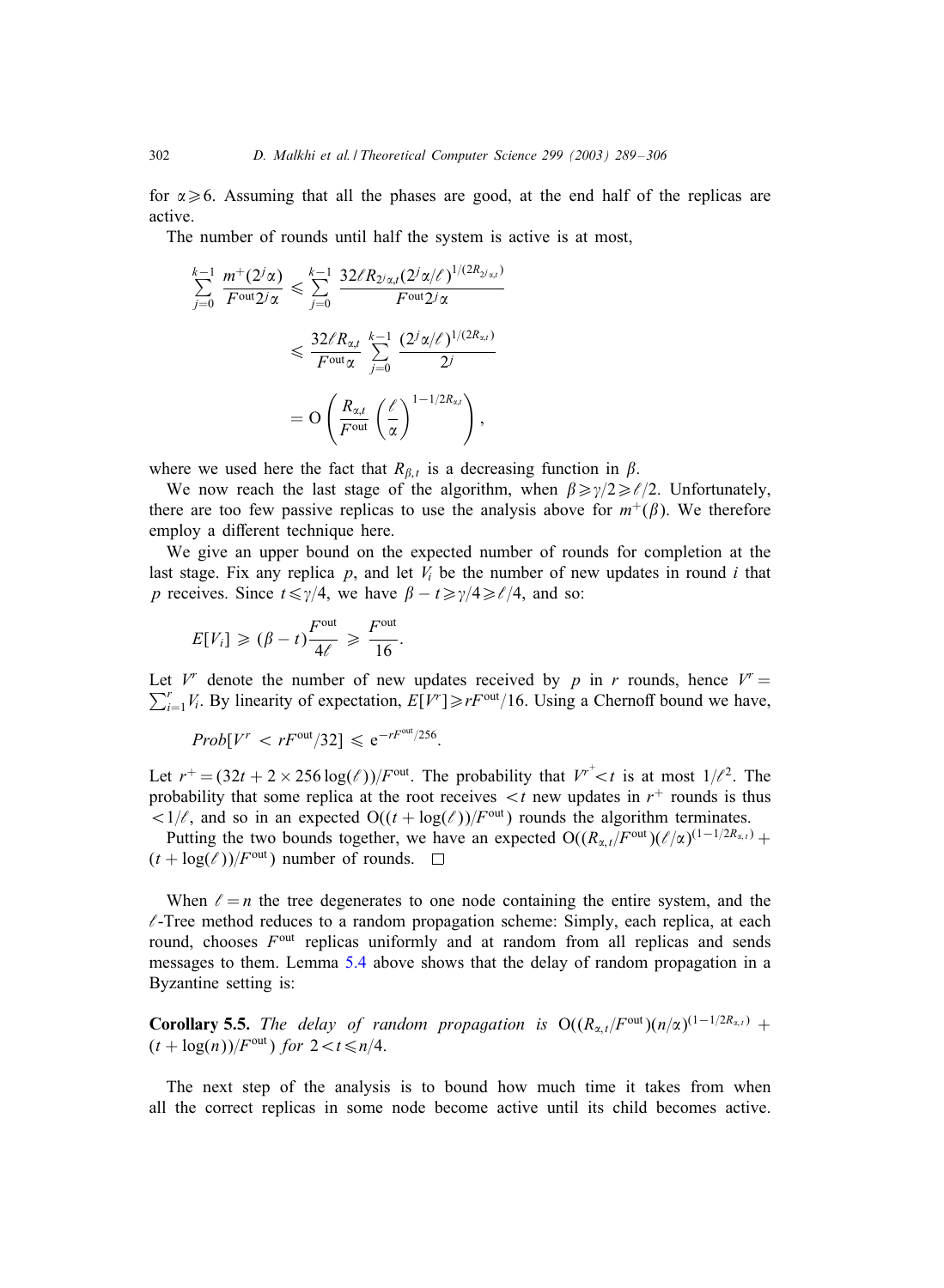for  $\alpha \ge 6$ . Assuming that all the phases are good, at the end half of the replicas are active.

The number of rounds until half the system is active is at most,

$$
\sum_{j=0}^{k-1} \frac{m^+(2^j\alpha)}{F^{\text{out}} 2^j\alpha} \leq \sum_{j=0}^{k-1} \frac{32\ell R_{2^j\alpha,l} (2^j\alpha/\ell)^{1/(2R_{2^j\alpha,l})}}{F^{\text{out}} 2^j\alpha}
$$

$$
\leq \frac{32\ell R_{\alpha,l}}{F^{\text{out}} \alpha} \sum_{j=0}^{k-1} \frac{(2^j\alpha/\ell)^{1/(2R_{\alpha,l})}}{2^j}
$$

$$
= O\left(\frac{R_{\alpha,l}}{F^{\text{out}}} \left(\frac{\ell}{\alpha}\right)^{1-1/2R_{\alpha,l}}\right),
$$

where we used here the fact that  $R_{\beta,t}$  is a decreasing function in  $\beta$ .

We now reach the last stage of the algorithm, when  $\beta \geq \gamma/2 \geq \ell/2$ . Unfortunately, there are too few passive replicas to use the analysis above for  $m^+(\beta)$ . We therefore employ a different technique here.

We give an upper bound on the expected number of rounds for completion at the last stage. Fix any replica  $p$ , and let  $V_i$  be the number of new updates in round i that p receives. Since  $t \le \gamma/4$ , we have  $\beta - t \ge \gamma/4 \ge \ell/4$ , and so:

$$
E[V_i] \geq (\beta - t) \frac{F^{\text{out}}}{4\ell} \geq \frac{F^{\text{out}}}{16}.
$$

Let V<sup>r</sup> denote the number of new updates received by p in r rounds, hence  $V^r =$ Let V<sup>r</sup> denote the number of new updates received by p in r rounds, hence  $V^r = \sum_{i=1}^r V_i$ . By linearity of expectation,  $E[V^r] \ge rF^{out}/16$ . Using a Chernoff bound we have,

$$
Prob[V^r < rF^{\text{out}}/32] \leqslant e^{-rF^{\text{out}}/256}.
$$

Let  $r^+ = (32t + 2 \times 256 \log(\ell))/F^{out}$ . The probability that  $V^{+} < t$  is at most  $1/\ell^2$ . The probability that some replica at the root receives  $\lt t$  new updates in  $r^+$  rounds is thus  $\langle 1/\ell$ , and so in an expected  $O((t + \log(\ell))/F^{out})$  rounds the algorithm terminates.

Putting the two bounds together, we have an expected  $O((R_{\alpha,t}/F^{out})(\ell/\alpha)^{(1-1/2R_{\alpha,t})} +$  $(t + \log(\ell))/F^{out})$  number of rounds.  $\square$ 

When  $\ell = n$  the tree degenerates to one node containing the entire system, and the  $\ell$ -Tree method reduces to a random propagation scheme: Simply, each replica, at each round, chooses  $F<sup>out</sup>$  replicas uniformly and at random from all replicas and sends messages to them. Lemma [5.4](#page-10-0) above shows that the delay of random propagation in a Byzantine setting is:

**Corollary 5.5.** *The delay of random propagation is*  $O((R_{\alpha,t}/F^{out})(n/\alpha)^{(1-1/2R_{\alpha,t})}$  +  $(t + \log(n))/F^{out}$  *for*  $2 < t \le n/4$ .

The next step of the analysis is to bound how much time it takes from when all the correct replicas in some node become active until its child becomes active.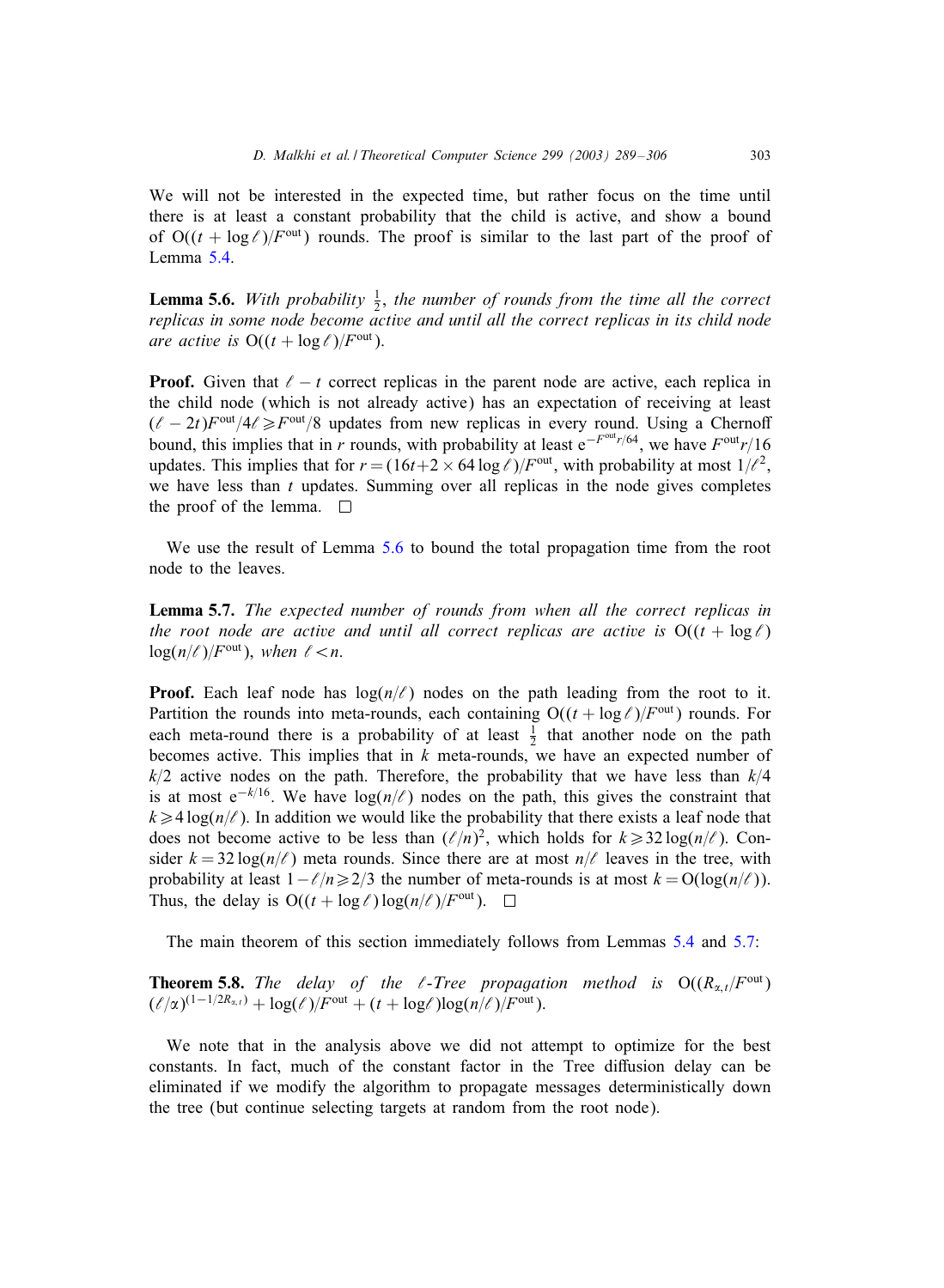We will not be interested in the expected time, but rather focus on the time until there is at least a constant probability that the child is active, and show a bound of  $O((t + \log \ell)/F^{out})$  rounds. The proof is similar to the last part of the proof of Lemma [5.4.](#page-10-0)

**Lemma 5.6.** With probability  $\frac{1}{2}$ , the number of rounds from the time all the correct *replicas in some node become active and until all the correct replicas in its child node are active is*  $O((t + \log \ell)/F^{out})$ .

**Proof.** Given that  $\ell - t$  correct replicas in the parent node are active, each replica in the child node (which is not already active) has an expectation of receiving at least  $(\ell - 2t)F<sup>out</sup>/4\ell \geq F<sup>out</sup>/8$  updates from new replicas in every round. Using a Chernoff bound, this implies that in r rounds, with probability at least  $e^{-F^{out}r/64}$ , we have  $F^{out}r/16$ updates. This implies that for  $r = (16t+2 \times 64 \log \ell)/F^{out}$ , with probability at most  $1/\ell^2$ , we have less than  $t$  updates. Summing over all replicas in the node gives completes the proof of the lemma.  $\Box$ 

We use the result of Lemma 5.6 to bound the total propagation time from the root node to the leaves.

Lemma 5.7. *The expected number of rounds from when all the correct replicas in the root node are active and until all correct replicas are active is*  $O((t + \log \ell))$  $log(n/\ell)/F^{out}$ ), when  $\ell < n$ .

**Proof.** Each leaf node has  $\log(n/\ell)$  nodes on the path leading from the root to it. Partition the rounds into meta-rounds, each containing  $O((t + \log \ell)/F^{out})$  rounds. For each meta-round there is a probability of at least  $\frac{1}{2}$  that another node on the path becomes active. This implies that in  $k$  meta-rounds, we have an expected number of  $k/2$  active nodes on the path. Therefore, the probability that we have less than  $k/4$ is at most  $e^{-k/16}$ . We have  $log(n/\ell)$  nodes on the path, this gives the constraint that  $k \geq 4 \log(n/\ell)$ . In addition we would like the probability that there exists a leaf node that does not become active to be less than  $(\ell/n)^2$ , which holds for  $k \ge 32 \log(n/\ell)$ . Consider  $k = 32 \log(n/\ell)$  meta rounds. Since there are at most  $n/\ell$  leaves in the tree, with probability at least  $1-\ell/n \geq 2/3$  the number of meta-rounds is at most  $k = O(\log(n/\ell))$ . Thus, the delay is  $O((t + \log \ell) \log(n/\ell)/F^{out})$ .  $\Box$ 

The main theorem of this section immediately follows from Lemmas [5.4](#page-10-0) and 5.7:

**Theorem 5.8.** *The delay of the*  $\ell$ *-Tree propagation method is*  $O((R_{\alpha,t}/F^{out})$  $(\ell/\alpha)^{(1-1/2R_{\alpha,t})} + \log(\ell)/F^{out} + (t + \log \ell) \log(n/\ell)/F^{out}).$ 

We note that in the analysis above we did not attempt to optimize for the best constants. In fact, much of the constant factor in the Tree diffusion delay can be eliminated if we modify the algorithm to propagate messages deterministically down the tree (but continue selecting targets at random from the root node).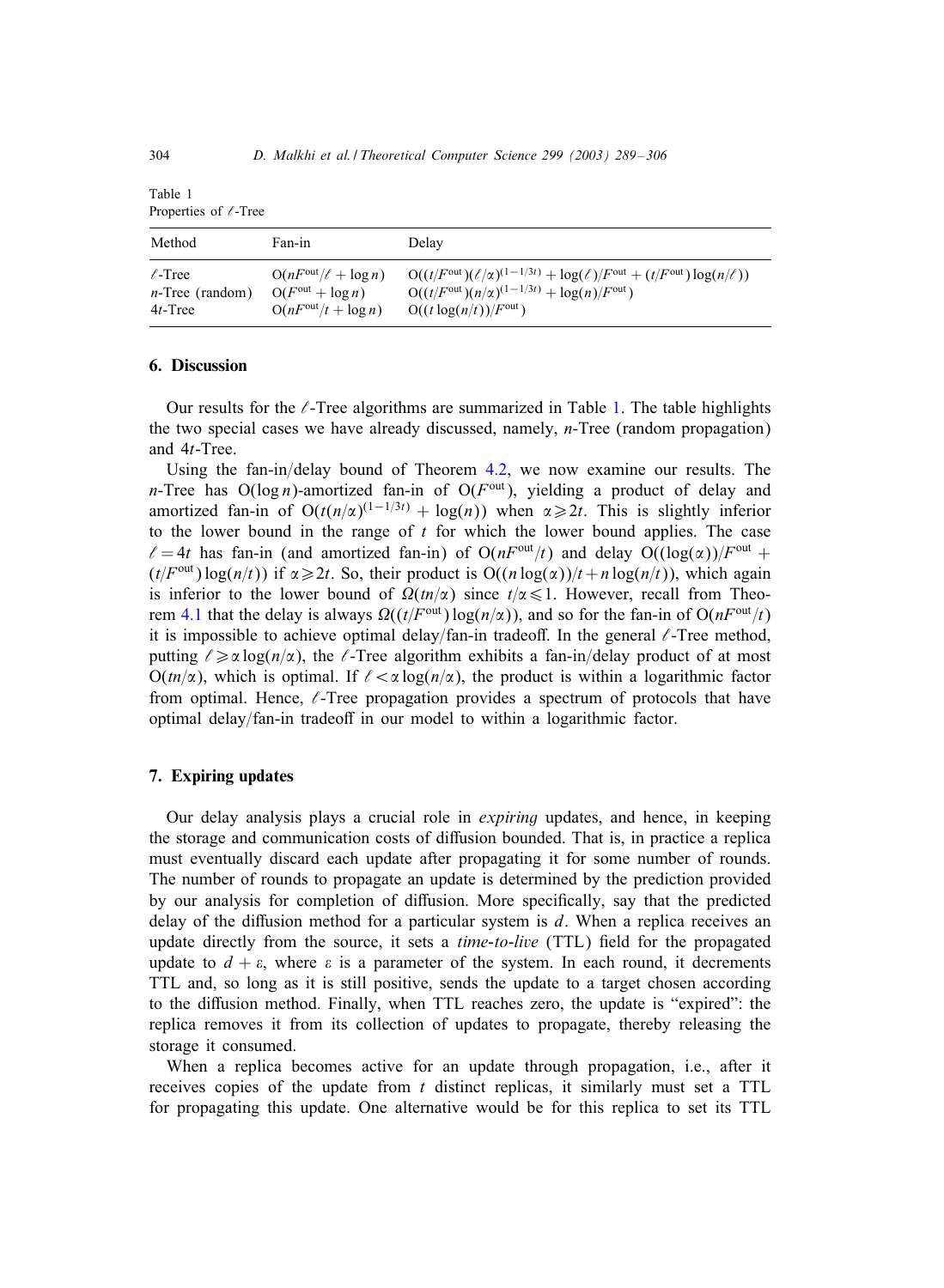| lable 1<br>Properties of $\ell$ -Tree |                             |                                                                                         |  |
|---------------------------------------|-----------------------------|-----------------------------------------------------------------------------------------|--|
| Method                                | Fan-in                      | Delay                                                                                   |  |
| $\ell$ -Tree                          | $O(nF^{out}/\ell + \log n)$ | $O((t/F^{out})(\ell/\alpha)^{(1-1/3t)} + \log(\ell)/F^{out} + (t/F^{out})\log(n/\ell))$ |  |

n-Tree (random)  $O(F^{out} + \log n)$   $O((t/F^{out})(n/\alpha)^{(1-1/3t)} + \log(n)/F^{out})$ 

4t-Tree  $O(nF^{out}/t + \log n) = O((t \log(n/t))/F^{out})$ 

|  | 6. Discussion |
|--|---------------|
|  |               |

Our results for the  $\ell$ -Tree algorithms are summarized in Table 1. The table highlights the two special cases we have already discussed, namely, n-Tree (random propagation) and 4t-Tree.

Using the fan-in/delay bound of Theorem  $4.2$ , we now examine our results. The n-Tree has  $O(log n)$ -amortized fan-in of  $O(F^{out})$ , yielding a product of delay and amortized fan-in of  $O(t(n/\alpha)^{(1-1/3t)} + \log(n))$  when  $\alpha \ge 2t$ . This is slightly inferior to the lower bound in the range of  $t$  for which the lower bound applies. The case  $\ell = 4t$  has fan-in (and amortized fan-in) of  $O(nF^{out}/t)$  and delay  $O((\log(\alpha))/F^{out} +$  $(t/F<sup>out</sup>) log(n/t)$  if  $\alpha \ge 2t$ . So, their product is  $O((n log(\alpha))/t + n log(n/t))$ , which again is inferior to the lower bound of  $\Omega(tn/\alpha)$  since  $t/\alpha \leq 1$ . However, recall from Theo-rem [4.1](#page-6-0) that the delay is always  $\Omega((t/F^{out}) \log(n/\alpha))$ , and so for the fan-in of  $O(nF^{out}/t)$ it is impossible to achieve optimal delay/fan-in tradeoff. In the general  $\ell$ -Tree method, putting  $\ell \ge \alpha \log(n/\alpha)$ , the  $\ell$ -Tree algorithm exhibits a fan-in/delay product of at most  $O(m/\alpha)$ , which is optimal. If  $\ell < \alpha \log(n/\alpha)$ , the product is within a logarithmic factor from optimal. Hence,  $\ell$ -Tree propagation provides a spectrum of protocols that have optimal delay/fan-in tradeoff in our model to within a logarithmic factor.

## 7. Expiring updates

Our delay analysis plays a crucial role in *expiring* updates, and hence, in keeping the storage and communication costs of diffusion bounded. That is, in practice a replica must eventually discard each update after propagating it for some number of rounds. The number of rounds to propagate an update is determined by the prediction provided by our analysis for completion of diffusion. More specifically, say that the predicted delay of the diffusion method for a particular system is  $d$ . When a replica receives an update directly from the source, it sets a *time-to-live* (TTL) field for the propagated update to  $d + \varepsilon$ , where  $\varepsilon$  is a parameter of the system. In each round, it decrements TTL and, so long as it is still positive, sends the update to a target chosen according to the diffusion method. Finally, when TTL reaches zero, the update is "expired": the replica removes it from its collection of updates to propagate, thereby releasing the storage it consumed.

When a replica becomes active for an update through propagation, i.e., after it receives copies of the update from  $t$  distinct replicas, it similarly must set a TTL for propagating this update. One alternative would be for this replica to set its TTL

<span id="page-15-0"></span> $\overline{ }$   $\overline{ }$  11  $\overline{ }$  1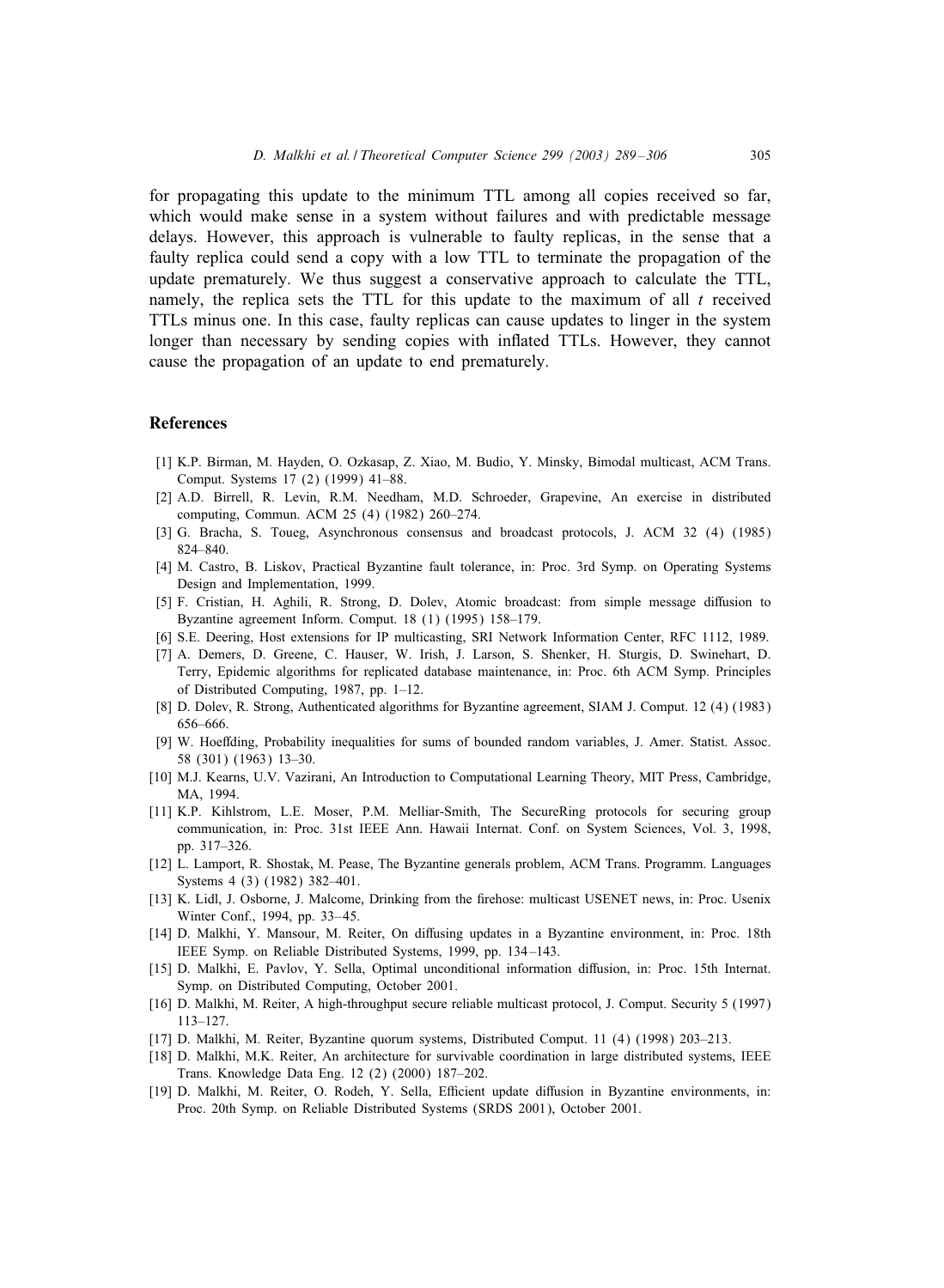<span id="page-16-0"></span>for propagating this update to the minimum TTL among all copies received so far, which would make sense in a system without failures and with predictable message delays. However, this approach is vulnerable to faulty replicas, in the sense that a faulty replica could send a copy with a low TTL to terminate the propagation of the update prematurely. We thus suggest a conservative approach to calculate the TTL, namely, the replica sets the TTL for this update to the maximum of all  $t$  received TTLs minus one. In this case, faulty replicas can cause updates to linger in the system longer than necessary by sending copies with inflated TTLs. However, they cannot cause the propagation of an update to end prematurely.

#### References

- [1] K.P. Birman, M. Hayden, O. Ozkasap, Z. Xiao, M. Budio, Y. Minsky, Bimodal multicast, ACM Trans. Comput. Systems 17 (2) (1999) 41–88.
- [2] A.D. Birrell, R. Levin, R.M. Needham, M.D. Schroeder, Grapevine, An exercise in distributed computing, Commun. ACM 25 (4) (1982) 260–274.
- [3] G. Bracha, S. Toueg, Asynchronous consensus and broadcast protocols, J. ACM 32 (4) (1985) 824–840.
- [4] M. Castro, B. Liskov, Practical Byzantine fault tolerance, in: Proc. 3rd Symp. on Operating Systems Design and Implementation, 1999.
- [5] F. Cristian, H. Aghili, R. Strong, D. Dolev, Atomic broadcast: from simple message diffusion to Byzantine agreement Inform. Comput. 18 (1) (1995) 158–179.
- [6] S.E. Deering, Host extensions for IP multicasting, SRI Network Information Center, RFC 1112, 1989.
- [7] A. Demers, D. Greene, C. Hauser, W. Irish, J. Larson, S. Shenker, H. Sturgis, D. Swinehart, D. Terry, Epidemic algorithms for replicated database maintenance, in: Proc. 6th ACM Symp. Principles of Distributed Computing, 1987, pp. 1–12.
- [8] D. Dolev, R. Strong, Authenticated algorithms for Byzantine agreement, SIAM J. Comput. 12 (4) (1983) 656–666.
- [9] W. Hoeffding, Probability inequalities for sums of bounded random variables, J. Amer. Statist. Assoc. 58 (301) (1963) 13–30.
- [10] M.J. Kearns, U.V. Vazirani, An Introduction to Computational Learning Theory, MIT Press, Cambridge, MA, 1994.
- [11] K.P. Kihlstrom, L.E. Moser, P.M. Melliar-Smith, The SecureRing protocols for securing group communication, in: Proc. 31st IEEE Ann. Hawaii Internat. Conf. on System Sciences, Vol. 3, 1998, pp. 317–326.
- [12] L. Lamport, R. Shostak, M. Pease, The Byzantine generals problem, ACM Trans. Programm. Languages Systems 4 (3) (1982) 382–401.
- [13] K. Lidl, J. Osborne, J. Malcome, Drinking from the firehose: multicast USENET news, in: Proc. Usenix Winter Conf., 1994, pp. 33-45.
- [14] D. Malkhi, Y. Mansour, M. Reiter, On diffusing updates in a Byzantine environment, in: Proc. 18th IEEE Symp. on Reliable Distributed Systems, 1999, pp. 134 –143.
- [15] D. Malkhi, E. Pavlov, Y. Sella, Optimal unconditional information diffusion, in: Proc. 15th Internat. Symp. on Distributed Computing, October 2001.
- [16] D. Malkhi, M. Reiter, A high-throughput secure reliable multicast protocol, J. Comput. Security 5 (1997) 113–127.
- [17] D. Malkhi, M. Reiter, Byzantine quorum systems, Distributed Comput. 11 (4) (1998) 203–213.
- [18] D. Malkhi, M.K. Reiter, An architecture for survivable coordination in large distributed systems, IEEE Trans. Knowledge Data Eng. 12 (2) (2000) 187–202.
- [19] D. Malkhi, M. Reiter, O. Rodeh, Y. Sella, Efficient update diffusion in Byzantine environments, in: Proc. 20th Symp. on Reliable Distributed Systems (SRDS 2001), October 2001.